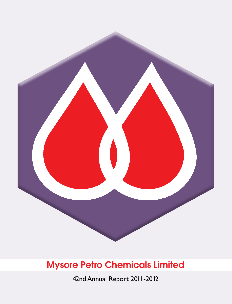

42nd Annual Report 2011-2012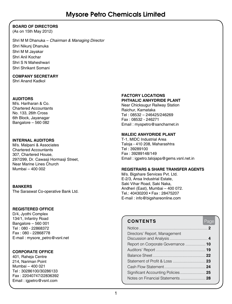### **BOARD OF DIRECTORS**

(As on 15th May 2012)

Shri M M Dhanuka – *Chairman & Managing Director* Shri Nikunj Dhanuka Shri M M Jayakar Shri Anil Kochar Shri S N Maheshwari Shri Shrikant Somani

### **COMPANY SECRETARY**

Shri Anand Kadkol

### **AUDITORS**

M/s. Hariharan & Co. Chartered Accountants No. 133, 26th Cross 6th Block, Jayanagar Bangalore – 560 082

### **INTERNAL AUDITORS**

M/s. Malpani & Associates Chartered Accountants 307, Chartered House, 297/299, Dr. Cawasji Hormasji Street, Near Marine Lines Church Mumbai – 400 002

### **BANKERS**

The Saraswat Co-operative Bank Ltd.

### **REGISTERED OFFICE**

D/4, Jyothi Complex 134/1, Infantry Road Bangalore – 560 001 Tel : 080 - 22868372 Fax : 080 - 22868778 E-mail : mysore\_petro@vsnl.net

### **CORPORATE OFFICE**

401, Raheja Centre 214, Nariman Point Mumbai – 400 021 Tel : 30286100/30286133 Fax : 22040747/22836392 Email : igpetro@vsnl.com

### **FACTORY LOCATIONS PHTHALIC ANHYDRIDE Plant**

Near Chicksugur Railway Station Raichur, Karnataka Tel : 08532 – 246425/246269 Fax : 08532 - 246271 Email : myspetro@sancharnet.in

### **MALEIC ANHYDRIDE Plant**

T-1, MIDC Industrial Area Taloja - 410 208, Maharashtra Tel : 39289100 Fax : 39289148/149 Email : igpetro.talojapa@gems.vsnl.net.in

### **REGISTRARS & SHARE TRANSFER AGENTS**

M/s. Bigshare Services Pvt. Ltd. E-2/3, Ansa Industrial Estate, Saki Vihar Road, Saki Naka, Andheri (East), Mumbai – 400 072. Tel.: 40430200 • Fax : 28475207 E-mail : info@bigshareonline.com

### **Contents** Page Notice ................................................................. **2** Directors' Report, Management Discussion and Analysis .................................... **4** Report on Corporate Governance ................... **10** Auditors' Report ............................................... **19** Balance Sheet .................................................. **22** Statement of Profit & Loss ............................... **23** Cash Flow Statement....................................... **24** Significant Accounting Policies ........................ **25** Notes on Financial Statements ........................ **28**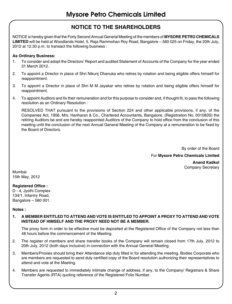### **NOTICE TO THE SHAREHOLDERS**

NOTICE is hereby given that the Forty Second Annual General Meeting of the members of **MYSORE PETRO CHEMICALS LIMITED** will be held at Woodlands Hotel, 5, Raja Rammohan Roy Road, Bangalore – 560 025 on Friday, the 20th July, 2012 at 12.30 p.m. to transact the following business :

### **As Ordinary Business:**

- 1. To consider and adopt the Directors' Report and audited Statement of Accounts of the Company for the year ended 31 March 2012.
- 2. To appoint a Director in place of Shri Nikunj Dhanuka who retires by rotation and being eligible offers himself for reappointment.
- 3. To appoint a Director in place of Shri M M Jayakar who retires by rotation and being eligible offers himself for reappointment.
- 4. To appoint Auditors and fix their remuneration and for this purpose to consider and, if thought fit, to pass the following resolution as an Ordinary Resolution :

RESOLVED THAT pursuant to the provisions of Section 224 and other applicable provisions, if any, of the Companies Act, 1956, M/s. Hariharan & Co., Chartered Accountants, Bangalore, (Registration No. 001083S) the retiring Auditors be and are hereby reappointed Auditors of the Company to hold office from the conclusion of this meeting until the conclusion of the next Annual General Meeting of the Company at a remuneration to be fixed by the Board of Directors.

By order of the Board

For **Mysore Petro Chemicals Limited** 

**Anand Kadkol** Company Secretary

Mumbai 15th May, 2012

### **Registered Office :**

D - 4, Jyothi Complex 134/1, Infantry Road, Bangalore – 560 001.

### **Notes :**

### **1. A MEMBER ENTITLED TO ATTEND AND VOTE IS ENTITLED TO APPOINT A PROXY TO ATTEND AND VOTE INSTEAD OF HIMSELF AND THE PROXY NEED NOT BE A MEMBER.**

The proxy form in order to be effective must be deposited at the Registered Office of the Company not less than 48 hours before the commencement of the Meeting.

- 2. The register of members and share transfer books of the Company will remain closed from 17th July, 2012 to 20th July, 2012 (both days inclusive) in connection with the Annual General Meeting.
- 3. Members/Proxies should bring their Attendance slip duly filled in for attending the meeting. Bodies Corporate who are members are requested to send duly certified copy of the Board resolution authorizing their representatives to attend and vote at the Meeting.
- 4. Members are requested to immediately intimate change of address, if any, to the Company/ Registrars & Share Transfer Agents (RTA) quoting reference of the Registered Folio Number.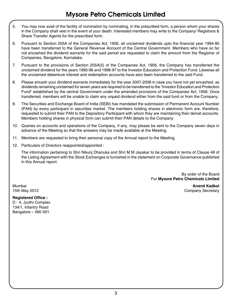- 5. You may now avail of the facility of nomination by nominating, in the prescribed form, a person whom your shares in the Company shall vest in the event of your death. Interested members may write to the Company/ Registrars & Share Transfer Agents for the prescribed form.
- 6. Pursuant to Section 205A of the Companies Act, 1956, all unclaimed dividends upto the financial year 1994-95 have been transferred to the General Revenue Account of the Central Government. Members who have so far not encashed the dividend warrants for the said period are requested to claim the amount from the Registrar of Companies, Bangalore, Karnataka.
- 7. Pursuant to the provisions of Section 205A(5) of the Companies Act, 1956, the Company has transferred the unclaimed dividend for the years 1995-96 and 1996-97 to the Investor Education and Protection Fund. Likewise all the unclaimed debenture interest and redemption accounts have also been transferred to the said Fund.
- 8. Please encash your dividend warrants immediately for the year 2007-2008 in case you have not yet encashed, as dividends remaining unclaimed for seven years are required to be transferred to the "Investor Education and Protection Fund" established by the central Government under the amended provisions of the Companies Act, 1956. Once transferred, members will be unable to claim any unpaid dividend either from the said fund or from the Company.
- 9. The Securities and Exchange Board of India (SEBI) has mandated the submission of Permanent Account Number (PAN) by every participant in securities market. The members holding shares in electronic form are, therefore, requested to submit their PAN to the Depository Participant with whom they are maintaining their demat accounts. Members holding shares in physical form can submit their PAN details to the Company.
- 10. Queries on accounts and operations of the Company, if any, may please be sent to the Company seven days in advance of the Meeting so that the answers may be made available at the Meeting.
- 11. Members are requested to bring their personal copy of the Annual report to the Meeting.
- 12. Particulars of Directors reappointed/appointed :

The information pertaining to Shri Nikunj Dhanuka and Shri M M Jayakar to be provided in terms of Clause 49 of the Listing Agreement with the Stock Exchanges is furnished in the statement on Corporate Governance published in this Annual report.

> By order of the Board For **Mysore Petro Chemicals Limited**

Mumbai **Anand Kadkol** 15th May 2012 **Company Secretary** Company Secretary

### **Registered Office :**

D - 4, Jyothi Complex 134/1, Infantry Road Bangalore – 560 001.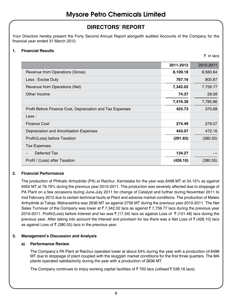### **DIRECTORS' REPORT**

Your Directors hereby present the Forty Second Annual Report alongwith audited Accounts of the Company for the financial year ended 31 March 2012.

### **1. Financial Results**

 $\bar{\tau}$  in lacs

|                                                           | 2011-2012 | 2010-2011 |
|-----------------------------------------------------------|-----------|-----------|
| Revenue from Operations (Gross)                           | 8,109.18  | 8,560.64  |
| Less: Excise Duty                                         | 767.16    | 800.87    |
| Revenue from Operations (Net)                             | 7,342.02  | 7,759.77  |
| Other Income                                              | 74.37     | 26.09     |
|                                                           | 7,416.39  | 7,785.86  |
| Profit Before Finance Cost, Depreciation and Tax Expenses | 425.73    | 370.68    |
| Less:                                                     |           |           |
| <b>Finance Cost</b>                                       | 274.49    | 279.07    |
| Depreciation and Amortisation Expenses                    | 443.07    | 472.16    |
| Profit/(Loss) before Taxation                             | (291.83)  | (380.55)  |
| <b>Tax Expenses</b>                                       |           |           |
| Deferred Tax                                              | 134.27    |           |
| Profit / (Loss) after Taxation                            | (426.10)  | (380.55)  |

### **2. Financial Performance**

The production of Phthalic Anhydride (PA) at Raichur, Karnataka for the year was 6498 MT at 54.15% as against 9452 MT at 78.76% during the previous year 2010-2011. The production was severely affected due to stoppage of PA Plant on a few occasions during June-July 2011 for change of Catalyst and further during November 2011 to mid February 2012 due to certain technical faults at Plant and adverse market conditions. The production of Maleic Anhydride at Taloja, Maharashtra was 2636 MT as against 2756 MT during the previous year 2010-2011. The Net Sales Turnover of the Company was lower at  $\bar{\tau}$  7,342.02 lacs as against  $\bar{\tau}$  7,759.77 lacs during the previous year 2010-2011. Profit/(Loss) before Interest and tax was ₹ (17.34) lacs as against Loss of ₹ (101.48) lacs during the previous year. After taking into account the Interest and provision for tax there was a Net Loss of  $\bar{\tau}$  (426.10) lacs as against Loss of  $\bar{\tau}$  (380.55) lacs in the previous year.

### **3. Management's Discussion and Analysis**

### **a) Performance Review**

The Company's PA Plant at Raichur operated lower at about 54% during the year with a production of 6498 MT due to stoppage of plant coupled with the sluggish market conditions for the first three quarters. The MA plants operated satisfactorily during the year with a production of 2636 MT.

The Company continues to enjoy working capital facilities of  $\bar{\tau}$  700 lacs (utilised  $\bar{\tau}$  539.16 lacs).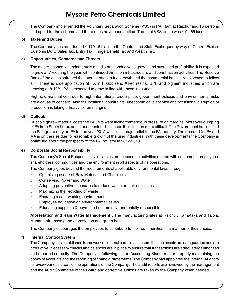The Company implemented the Voluntary Separation Scheme (VSS) in PA Plant at Raichur and 15 persons had opted for the scheme and there dues have been settled. The total VSS outgo was  $\bar{\tau}$  94.65 lacs.

### **b) Taxes and Duties**

The Company has contributed  $\bar{\zeta}$  1101.61 lacs to the Central and State Exchequer by way of Central Excise, Customs Duty, Sales Tax, Entry Tax, Fringe Benefit Tax and Wealth Tax.

### **c) Opportunities, Concerns and Threats**

The macro-economic fundamentals of India are conducive to growth and sustained profitability. It is expected to grow at 7% during the year with continued thrust on infrastructure and construction activities. The Reserve Bank of India has softened the interest rates to fuel growth and the commercial banks are expected to follow suit. There is wide application of PA in Plasticizers, Alked resins, UPR and pigment industries which are growing at 8-10%. PA is expected to grow in line with these industries.

High raw material cost due to high international crude price, government policies and environmental risks are a cause of concern. Also the locational constraints, uneconomical plant size and occasional disruption of production is taking a heavy toll on margins.

### **d) Outlook**

Due to high raw material costs the PA units were facing tremendous pressure on margins. Moreover dumping of PA from South Korea and other countries has made the situation more difficult. The Government has notified the Safeguard duty on PA for the year 2012 which is a major relief to the PA industry. The demand for PA and MA is on the rise due to reasonable growth of the user industries. With these developments the Company is optimistic about the prospects of the PA industry in 2012-2013.

### **e) Corporate Social Responsibility**

The Company's Social Responsibility initiatives are focused on activities related with customers, employees, shareholders, communities and the environment in all aspects of its operations.

The Company goes beyond the requirements of applicable environmental laws through:

- » Optimising usage of Raw Material and Chemicals
- » Conserving Power and Water
- » Adopting preventive measures to reduce waste and air emissions
- » Maximizing the recycling of waste
- » Ensuring a safe working environment
- » Employee education on environmental issues
- » Educating suppliers & buyers to become environmentally responsible.

**Aforestation and Rain Water Management :** The manufacturing sites at Raichur, Karnataka and Taloja, Maharashtra have good aforestation and green belts.

The Company encourages the employees to contribute to their communities in a manner of their choice.

### **f) Internal Control System**

The Company has established framework of internal controls to ensure that the assets are safeguarded and are productive. Necessary checks and balances are in place to ensure that transactions are adequately authorised and reported correctly. The Company is following all the Accounting Standards for properly maintaining the books of accounts and the reporting of financial statements. The Company has appointed the Internal Auditors to review various areas of the operations of the Company. The audit reports are reviewed by the management and the Audit Committee of the Board and corrective actions are taken by the Company when needed.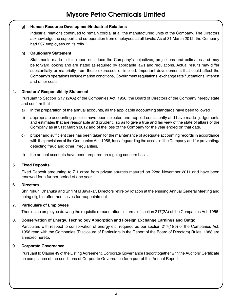### **g) Human Resource Development/Industrial Relations**

Industrial relations continued to remain cordial at all the manufacturing units of the Company. The Directors acknowledge the support and co-operation from employees at all levels. As of 31 March 2012, the Company had 237 employees on its rolls.

### **h) Cautionary Statement**

Statements made in this report describes the Company's objectives, projections and estimates and may be forward looking and are stated as required by applicable laws and regulations. Actual results may differ substantially or materially from those expressed or implied. Important developments that could affect the Company's operations include market conditions, Government regulations, exchange rate fluctuations, interest and other costs.

### **4. Directors' Responsibility Statement**

Pursuant to Section 217 (2AA) of the Companies Act, 1956, the Board of Directors of the Company hereby state and confirm that –

- a) in the preparation of the annual accounts, all the applicable accounting standards have been followed ;
- b) appropriate accounting policies have been selected and applied consistently and have made judgements and estimates that are reasonable and prudent, so as to give a true and fair view of the state of affairs of the Company as at 31st March 2012 and of the loss of the Company for the year ended on that date.
- c) proper and sufficient care has been taken for the maintenance of adequate accounting records in accordance with the provisions of the Companies Act, 1956, for safeguarding the assets of the Company and for preventing/ detecting fraud and other irregularities.
- d) the annual accounts have been prepared on a going concern basis.

### **5. Fixed Deposits**

Fixed Deposit amounting to  $\bar{\tau}$  1 crore from private sources matured on 22nd November 2011 and have been renewed for a further period of one year.

### **6. Directors**

Shri Nikunj Dhanuka and Shri M M Jayakar, Directors retire by rotation at the ensuing Annual General Meeting and being eligible offer themselves for reappointment.

### **7. Particulars of Employees**

There is no employee drawing the requisite remuneration, in terms of section 217(2A) of the Companies Act, 1956.

### **8. Conservation of Energy, Technology Absorption and Foreign Exchange Earnings and Outgo**

Particulars with respect to conservation of energy etc. required as per section 217(1)(e) of the Companies Act, 1956 read with the Companies (Disclosure of Particulars in the Report of the Board of Directors) Rules, 1988 are annexed hereto.

### **9. Corporate Governance**

Pursuant to Clause 49 of the Listing Agreement, Corporate Governance Report together with the Auditors' Certificate on compliance of the conditions of Corporate Governance form part of this Annual Report.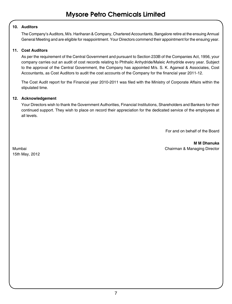### **10. Auditors**

The Company's Auditors, M/s. Hariharan & Company, Chartered Accountants, Bangalore retire at the ensuing Annual General Meeting and are eligible for reappointment. Your Directors commend their appointment for the ensuing year.

### **11. Cost Auditors**

As per the requirement of the Central Government and pursuant to Section 233B of the Companies Act, 1956, your company carries out an audit of cost records relating to Phthalic Anhydride/Maleic Anhydride every year. Subject to the approval of the Central Government, the Company has appointed M/s. S. K. Agarwal & Associates, Cost Accountants, as Cost Auditors to audit the cost accounts of the Company for the financial year 2011-12.

The Cost Audit report for the Financial year 2010-2011 was filed with the Ministry of Corporate Affairs within the stipulated time.

### **12. Acknowledgement**

Your Directors wish to thank the Government Authorities, Financial Institutions, Shareholders and Bankers for their continued support. They wish to place on record their appreciation for the dedicated service of the employees at all levels.

For and on behalf of the Board

**M M Dhanuka** Mumbai Chairman & Managing Director

15th May, 2012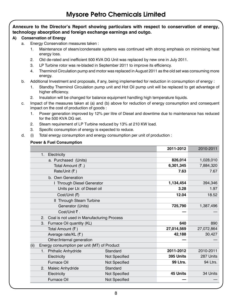### **Annexure to the Director's Report showing particulars with respect to conservation of energy, technology absorption and foreign exchange earnings and outgo.**

### **A) Conservation of Energy**

- a. Energy Conservation measures taken :
	- 1. Maintenance of steam/condensate systems was continued with strong emphasis on minimising heat energy loss.
	- 2. Old de-rated and inefficient 500 KVA DG Unit was replaced by new one in July 2011.
	- 3. LP Turbine rotor was re-bladed in September 2011 to improve its efficiency.
	- 4. Therminol Circulation pump and motor was replaced in August 2011 as the old set was consuming more energy.
- b. Additional Investment and proposals, if any, being implemented for reduction in consumption of energy :
	- 1. Standby Therminol Circulation pump unit and Hot Oil pump unit will be replaced to get advantage of higher efficiency.
	- 2. Insulation will be changed for balance equipment handling high temperature liquids.
- c. Impact of the measures taken at (a) and (b) above for reduction of energy consumption and consequent impact on the cost of production of goods :
	- 1. Power generation improved by 12% per litre of Diesel and downtime due to maintenance has reduced for the 500 KVA DG set.
	- 2. Steam requirement of LP Turbine reduced by 13% at 210 KW load.
	- 3. Specific consumption of energy is expected to reduce.
- d. (i) Total energy consumption and energy consumption per unit of production :

### **Power & Fuel Consumption**

|                                                     |               | 2011-2012  | 2010-2011  |
|-----------------------------------------------------|---------------|------------|------------|
| 1. Electricity                                      |               |            |            |
| a. Purchased (Units)                                |               | 826,014    | 1,028,010  |
| Total Amount (₹.)                                   |               | 6,301,345  | 7,884,320  |
| Rate/Unit (₹)                                       |               | 7.63       | 7.67       |
| b. Own Generation                                   |               |            |            |
| I Through Diesel Generator                          |               | 1,134,454  | 394,346    |
| Units per Ltr. of Diesel oil                        |               | 3.28       | 1.97       |
| Cost/Unit (₹)                                       |               | 12.04      | 18.52      |
| II Through Steam Turbine                            |               |            |            |
| Generator (Units)                                   |               | 725,790    | 1,387,496  |
| Cost/Unit ₹.                                        |               |            |            |
| Coal is not used in Manufacturing Process<br>2.     |               |            |            |
| 3.<br>Furnace Oil quantity (KL)                     |               | 640        | 890        |
| Total Amount (₹)                                    |               | 27,014,569 | 27,072,864 |
| Average rate/KL (₹)                                 |               | 42,188     | 30,427     |
| Other/Internal generation                           |               |            |            |
| Energy consumption per unit (MT) of Product<br>(ii) |               |            |            |
| 1. Phthalic Anhydride                               | Standard      | 2011-2012  | 2010-2011  |
| Electricity                                         | Not Specified | 395 Units  | 287 Units  |
| Furnace Oil                                         | Not Specified | 99 Ltrs.   | 94 Ltrs.   |
| Maleic Anhydride<br>2.                              | Standard      |            |            |
| Electricity                                         | Not Specified | 45 Units   | 34 Units   |
| Furnace Oil                                         | Not Specified |            |            |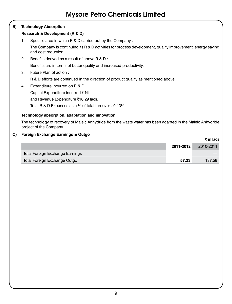### **B) Technology Absorption**

### **Research & Development (R & D)**

1. Specific area in which R & D carried out by the Company :

The Company is continuing its R & D activities for process development, quality improvement, energy saving and cost reduction.

2. Benefits derived as a result of above R & D :

Benefits are in terms of better quality and increased productivity.

3. Future Plan of action :

R & D efforts are continued in the direction of product quality as mentioned above.

4. Expenditure incurred on R & D :

Capital Expenditure incurred  $\bar{\tau}$  Nil

and Revenue Expenditure ₹10.29 lacs.

Total R & D Expenses as a % of total turnover : 0.13%

### **Technology absorption, adaptation and innovation**

The technology of recovery of Maleic Anhydride from the waste water has been adapted in the Maleic Anhydride project of the Company.

 $\bar{\tau}$  in lacs

### **C) Foreign Exchange Earnings & Outgo**

|                                 | 2011-2012 | 2010-2011 |
|---------------------------------|-----------|-----------|
| Total Foreign Exchange Earnings |           |           |
| Total Foreign Exchange Outgo    | 57.23     | 137.58    |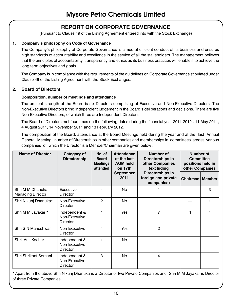### **REPORT ON CORPORATE GOVERNANCE**

(Pursuant to Clause 49 of the Listing Agreement entered into with the Stock Exchange)

### **1. Company's philosophy on Code of Governance**

The Company's philosophy of Corporate Governance is aimed at efficient conduct of its business and ensures high standards of accountability and excellence in the service of all the stakeholders. The management believes that the principles of accountability, transparency and ethics as its business practices will enable it to achieve the long term objectives and goals.

The Company is in compliance with the requirements of the guidelines on Corporate Governance stipulated under Clause 49 of the Listing Agreement with the Stock Exchanges.

### **2. Board of Directors**

### **Composition, number of meetings and attendance**

The present strength of the Board is six Directors comprising of Executive and Non-Executive Directors. The Non-Executive Directors bring independent judgement in the Board's deliberations and decisions. There are five Non-Executive Directors, of which three are Independent Directors.

The Board of Directors met four times on the following dates during the financial year 2011-2012 : 11 May 2011, 4 August 2011, 14 November 2011 and 13 February 2012.

The composition of the Board, attendance at the Board Meetings held during the year and at the last Annual General Meeting, number of Directorships in other companies and memberships in committees across various companies of which the Director is a Member/Chairman are given below :

| <b>Name of Director</b>                      | Category of<br>Directorship                       | No. of<br><b>Board</b><br><b>Meetings</b><br>attended | <b>Attendance</b><br>Number of<br>at the last<br>Directorships in<br>other Companies<br><b>AGM held</b><br>on 17th<br>(excluding |                                                       | Number of<br><b>Committee</b><br>positions held in<br>other Companies |   |
|----------------------------------------------|---------------------------------------------------|-------------------------------------------------------|----------------------------------------------------------------------------------------------------------------------------------|-------------------------------------------------------|-----------------------------------------------------------------------|---|
|                                              |                                                   |                                                       | September<br>2011                                                                                                                | Directorships in<br>foreign and private<br>companies) | Chairman   Member                                                     |   |
| Shri M M Dhanuka<br><b>Managing Director</b> | <b>Fxecutive</b><br>Director                      | 4                                                     | <b>No</b>                                                                                                                        |                                                       |                                                                       | 3 |
| Shri Nikunj Dhanuka*                         | Non-Executive<br>Director                         | 2                                                     | No                                                                                                                               |                                                       |                                                                       | 1 |
| Shri M M Jayakar *                           | Independent &<br>Non-Executive<br><b>Director</b> | 4                                                     | Yes                                                                                                                              | $\overline{7}$                                        | 1                                                                     | 4 |
| Shri S N Maheshwari                          | Non-Executive<br>Director                         | 4                                                     | Yes                                                                                                                              | $\overline{2}$                                        |                                                                       |   |
| Shri Anil Kochar                             | Independent &<br>Non-Executive<br>Director        | 1                                                     | No.                                                                                                                              | 1                                                     |                                                                       |   |
| Shri Shrikant Somani                         | Independent &<br>Non-Executive<br>Director        | 3                                                     | No                                                                                                                               | 4                                                     |                                                                       |   |

\* Apart from the above Shri Nikunj Dhanuka is a Director of two Private Companies and Shri M M Jayakar is Director of three Private Companies.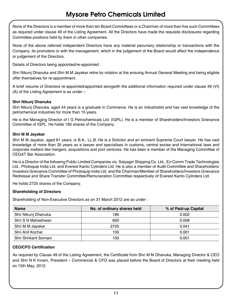None of the Directors is a member of more than ten Board Committees or a Chairman of more than five such Committees as required under clause 49 of the Listing Agreement. All the Directors have made the requisite disclosures regarding Committee positions held by them in other companies.

None of the above referred independent Directors have any material pecuniary relationship or transactions with the Company, its promoters or with the management, which in the judgement of the Board would affect the independence or judgement of the Directors.

Details of Directors being appointed/re-appointed :

Shri Nikunj Dhanuka and Shri M M Jayakar retire by rotation at the ensuing Annual General Meeting and being eligible offer themselves for re-appointment.

A brief resume of Directors re-appointed/appointed alongwith the additional information required under clause 49 (VI) (A) of the Listing Agreement is as under –

### **Shri Nikunj Dhanuka**

Shri Nikunj Dhanuka, aged 44 years is a graduate in Commerce. He is an industrialist and has vast knowledge of the petrochemical industries for more than 15 years.

He is the Managing Director of I G Petrochemicals Ltd. (IGPL). He is a member of Shareholders/Investors Grievance Committee of IGPL. He holds 180 shares of the Company.

### **Shri M M Jayakar**

Shri M M Jayakar, aged 61 years, is B.A., LL.B. He is a Solicitor and an eminent Supreme Court lawyer. He has vast knowledge of more than 35 years as a lawyer and specialises in customs, central excise and International laws and corporate matters like mergers, acquisitions and joint ventures. He has been a member of the Managing Committee of CEGAT Bar Association.

He is a Director of the following Public Limited Companies viz. Satyagiri Shipping Co. Ltd., Ez-Comm Trade Technologies Ltd., Photoquip India Ltd. and Everest Kanto Cylinders Ltd. He is also a member of Audit Committee and Shareholders/ Investors Grievance Committee of Photoquip India Ltd. and the Chairman/Member of Shareholders/Investors Grievance Redressal and Share Transfer Committee/Remuneration Committee respectively of Everest Kanto Cylinders Ltd.

He holds 2725 shares of the Company.

### **Shareholding of Directors**

Shareholding of Non-Executive Directors as on 31 March 2012 are as under :

| <b>Name</b>          | No. of ordinary shares held | % of Paid-up Capital |
|----------------------|-----------------------------|----------------------|
| Shri Nikunj Dhanuka  | 180                         | 0.002                |
| Shri S N Maheshwari  | 600                         | 0.009                |
| Shri M M Jayakar     | 2725                        | 0.041                |
| Shri Anil Kochar     | 100                         | 0.001                |
| Shri Shrikant Somani | 100                         | 0.001                |

### **CEO/CFO Certification**

As required by Clause 49 of the Listing Agreement, the Certificate from Shri M M Dhanuka, Managing Director & CEO and Shri N K Innani, President – Commercial & CFO was placed before the Board of Directors at their meeting held on 15th May, 2012.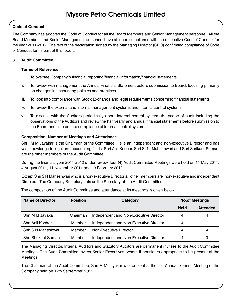### **Code of Conduct**

The Company has adopted the Code of Conduct for all the Board Members and Senior Management personnel. All the Board Members and Senior Management personnel have affirmed compliance with the respective Code of Conduct for the year 2011-2012. The text of the declaration signed by the Managing Director (CEO) confirming compliance of Code of Conduct forms part of this report.

### **3. Audit Committee**

### **Terms of Reference**

- i. To oversee Company's financial reporting/financial information/financial statements.
- ii. To review with management the Annual Financial Statement before submission to Board, focusing primarily on changes in accounting policies and practices.
- iii. To look into compliance with Stock Exchange and legal requirements concerning financial statements.
- iv. To review the external and internal management systems and internal control systems.
- v. To discuss with the Auditors periodically about internal control system, the scope of audit including the observations of the Auditors and review the half yearly and annual financial statements before submission to the Board and also ensure compliance of internal control system.

### **Composition, Number of Meetings and Attendance**

Shri. M M Jayakar is the Chairman of the Committee. He is an independent and non-executive Director and has vast knowledge in legal and accounting fields. Shri Anil Kochar, Shri S. N. Maheshwari and Shri Shrikant Somani are the other members of the Audit Committee.

During the financial year 2011-2012 under review, four (4) Audit Committee Meetings were held on 11 May 2011, 4 August 2011, 11 November 2011 and 13 February 2012.

Except Shri S N Maheshwari who is a non-executive Director all other members are non-executive and independent Directors. The Company Secretary acts as the Secretary of the Audit Committee.

| <b>Name of Director</b> | <b>Position</b> | Category                               |             | <b>No.of Meetings</b> |
|-------------------------|-----------------|----------------------------------------|-------------|-----------------------|
|                         |                 |                                        | <b>Held</b> | <b>Attended</b>       |
| Shri M M Jayakar        | Chairman        | Independent and Non-Executive Director | 4           | 4                     |
| Shri Anil Kochar        | Member          | Independent and Non-Executive Director | 4           |                       |
| Shri S N Maheshwari     | Member          | Non-Executive Director                 | 4           | 4                     |
| Shri Shrikant Somani    | Member          | Independent and Non-Executive Director | 4           | 3                     |

The composition of the Audit Committee and attendance at its meetings is given below :

The Managing Director, Internal Auditors and Statutory Auditors are permanent invitees to the Audit Committee Meetings. The Audit Committee invites Senior Executives, whom it considers appropriate to be present at the Meetings.

The Chairman of the Audit Committee, Shri M M Jayakar was present at the last Annual General Meeting of the Company held on 17th September, 2011.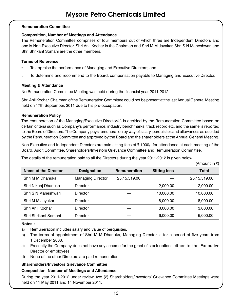### **Remuneration Committee**

### **Composition, Number of Meetings and Attendance**

The Remuneration Committee comprises of four members out of which three are Independent Directors and one is Non-Executive Director. Shri Anil Kochar is the Chairman and Shri M M Jayakar, Shri S N Maheshwari and Shri Shrikant Somani are the other members.

### **Terms of Reference**

- » To appraise the performance of Managing and Executive Directors; and
- » To determine and recommend to the Board, compensation payable to Managing and Executive Director.

### **Meeting & Attendance**

No Remuneration Committee Meeting was held during the financial year 2011-2012.

Shri Anil Kochar, Chairman of the Remuneration Committee could not be present at the last Annual General Meeting held on 17th September, 2011 due to his pre-occupation.

### **Remuneration Policy**

The remuneration of the Managing/Executive Director(s) is decided by the Remuneration Committee based on certain criteria such as Company's performance, industry benchmarks, track record etc. and the same is reported to the Board of Directors. The Company pays remuneration by way of salary, perquisites and allowances as decided by the Remuneration Committee and approved by the Board and the shareholders at the Annual General Meeting.

Non-Executive and Independent Directors are paid sitting fees of  $\bar{\tau}$  1000/- for attendance at each meeting of the Board, Audit Committee, Shareholders/Investors Grievance Committee and Remuneration Committee.

The details of the remuneration paid to all the Directors during the year 2011-2012 is given below :

|                             |                          |              |                     | (Amount in ₹ |
|-----------------------------|--------------------------|--------------|---------------------|--------------|
| <b>Name of the Director</b> | <b>Designation</b>       | Remuneration | <b>Sitting fees</b> | <b>Total</b> |
| Shri M M Dhanuka            | <b>Managing Director</b> | 25,15,519.00 |                     | 25,15,519.00 |
| Shri Nikunj Dhanuka         | <b>Director</b>          |              | 2,000.00            | 2,000.00     |
| Shri S N Maheshwari         | <b>Director</b>          |              | 10,000.00           | 10,000.00    |
| Shri M M Jayakar            | <b>Director</b>          |              | 8,000.00            | 8,000.00     |
| Shri Anil Kochar            | <b>Director</b>          |              | 3,000.00            | 3,000.00     |
| Shri Shrikant Somani        | <b>Director</b>          |              | 6,000.00            | 6,000.00     |

### **Notes :**

- a) Remuneration includes salary and value of perquisites.
- b) The terms of appointment of Shri M M Dhanuka, Managing Director is for a period of five years from 1 December 2008.
- c) Presently the Company does not have any scheme for the grant of stock options either to the Executive Director or employees.
- d) None of the other Directors are paid remuneration.

### **Shareholders/Investors Grievance Committee**

### **Composition, Number of Meetings and Attendance**

During the year 2011-2012 under review, two (2) Shareholders/Investors' Grievance Committee Meetings were held on 11 May 2011 and 14 November 2011.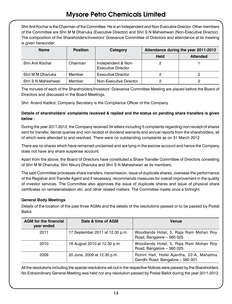Shri Anil Kochar is the Chairman of the Committee. He is an Independent and Non-Executive Director. Other members of the Committee are Shri M M Dhanuka (Executive Director) and Shri S N Maheshwari (Non-Executive Director). The composition of the Shareholders/Investors' Grievance Committee of Directors and attendance at its meeting is given hereunder:

| <b>Name</b>         | <b>Position</b> | Category                                        |             | Attendance during the year 2011-2012 |
|---------------------|-----------------|-------------------------------------------------|-------------|--------------------------------------|
|                     |                 |                                                 | <b>Held</b> | <b>Attended</b>                      |
| Shri Anil Kochar    | Chairman        | Independent & Non-<br><b>Executive Director</b> |             |                                      |
| Shri M M Dhanuka    | Member          | <b>Executive Director</b>                       |             |                                      |
| Shri S N Maheshwari | Member          | Non-Executive Director                          |             |                                      |

The minutes of each of the Shareholders/Investors' Grievance Committee Meeting are placed before the Board of Directors and discussed in the Board Meetings.

Shri. Anand Kadkol, Company Secretary is the Compliance Officer of the Company.

### **Details of shareholders' complaints received & replied and the status on pending share transfers is given below :**

During the year 2011-2012, the Company received 34 letters including 5 complaints regarding non-receipt of shares sent for transfer, demat queries and non-receipt of dividend warrants and annual reports from the shareholders, all of which were attended to and resolved. There were no outstanding complaints as on 31 March 2012.

There are no shares which have remained unclaimed and are lying in the escrow account and hence the Company does not have any share suspense account.

Apart from the above, the Board of Directors have constituted a Share Transfer Committee of Directors consisting of Shri M M Dhanuka, Shri Nikunj Dhanuka and Shri S N Maheshwari as its members.

The said Committee processes share transfers, transmission, issue of duplicate shares, overseas the performance of the Registrar and Transfer Agent and if necessary, recommends measures for overall improvement in the quality of investor services. The Committee also approves the issue of duplicate shares and issue of physical share certificates on rematerialisation etc. and other related matters. The Committee meets once a fortnight.

### **General Body Meetings**

Details of the location of the past three AGMs and the details of the resolutions passed or to be passed by Postal Ballot.

| <b>AGM</b> for the financial<br>year ended | Date & time of AGM              | Venue                                                                          |
|--------------------------------------------|---------------------------------|--------------------------------------------------------------------------------|
| 2011                                       | 17 September 2011 at 12.30 p.m. | Woodlands Hotel, 5, Raja Ram Mohan Roy<br>Road, Bangalore - 560 025.           |
| 2010                                       | 18 August 2010 at 12.30 p.m.    | Woodlands Hotel, 5, Raja Ram Mohan Roy<br>Road, Bangalore - 560 025.           |
| 2009                                       | 20 June, 2009 at 12.30 p.m.     | Rohini Hall, Hotel Ajantha, 22-A, Mahatma<br>Gandhi Road, Bangalore - 560 001. |

All the resolutions including the special resolutions set out in the respective Notices were passed by the Shareholders. No Extraordinary General Meeting was held nor any resolution passed by Postal Ballot during the year 2011-2012.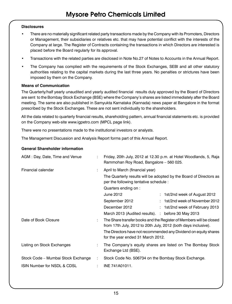### **Disclosures**

- There are no materially significant related party transactions made by the Company with its Promoters, Directors or Management, their subsidiaries or relatives etc. that may have potential conflict with the interests of the Company at large. The Register of Contracts containing the transactions in which Directors are interested is placed before the Board regularly for its approval.
- Transactions with the related parties are disclosed in Note No.27 of Notes to Accounts in the Annual Report.
- The Company has complied with the requirements of the Stock Exchanges, SEBI and all other statutory authorities relating to the capital markets during the last three years. No penalties or strictures have been imposed by them on the Company.

### **Means of Communication**

The Quarterly/half yearly unaudited and yearly audited financial results duly approved by the Board of Directors are sent to the Bombay Stock Exchange (BSE) where the Company's shares are listed immediately after the Board meeting. The same are also published in Samyukta Karnataka (Kannada) news paper at Bangalore in the format prescribed by the Stock Exchanges. These are not sent individually to the shareholders.

All the data related to quarterly financial results, shareholding pattern, annual financial statements etc. is provided on the Company web-site www.igpetro.com (MPCL page link).

There were no presentations made to the institutional investors or analysts.

The Management Discussion and Analysis Report forms part of this Annual Report.

### **General Shareholder information**

| AGM: Day, Date, Time and Venue     |   | Friday, 20th July, 2012 at 12.30 p.m. at Hotel Woodlands, 5, Raja<br>Rammohan Roy Road, Bangalore - 560 025.                          |
|------------------------------------|---|---------------------------------------------------------------------------------------------------------------------------------------|
| Financial calendar                 | ÷ | April to March (financial year)                                                                                                       |
|                                    |   | The Quarterly results will be adopted by the Board of Directors as<br>per the following tentative schedule :                          |
|                                    |   | Quarters ending on :                                                                                                                  |
|                                    |   | June 2012<br>: 1st/2nd week of August 2012                                                                                            |
|                                    |   | : 1st/2nd week of November 2012<br>September 2012                                                                                     |
|                                    |   | December 2012<br>: 1st/2nd week of February 2013                                                                                      |
|                                    |   | March 2013 (Audited results). : before 30 May 2013                                                                                    |
| Date of Book Closure               | ÷ | The Share transfer books and the Register of Members will be closed<br>from 17th July, 2012 to 20th July, 2012 (both days inclusive). |
|                                    |   | The Directors have not recommended any Dividend on equity shares<br>for the year ended 31 March 2012.                                 |
| Listing on Stock Exchanges         | ÷ | The Company's equity shares are listed on The Bombay Stock<br>Exchange Ltd (BSE).                                                     |
| Stock Code - Mumbai Stock Exchange | ÷ | Stock Code No. 506734 on the Bombay Stock Exchange.                                                                                   |
| ISIN Number for NSDL & CDSL        | ÷ | INE 741A01011.                                                                                                                        |
|                                    |   |                                                                                                                                       |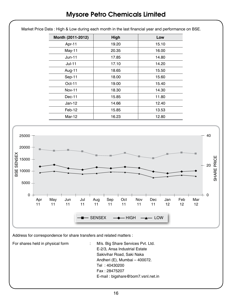|                                                                  | Month (2011-2012)      |           |                 | High      |           |           | Low                  |           |           |           |                         |
|------------------------------------------------------------------|------------------------|-----------|-----------------|-----------|-----------|-----------|----------------------|-----------|-----------|-----------|-------------------------|
|                                                                  | Apr-11                 |           | 19.20           |           |           | 15.10     |                      |           |           |           |                         |
|                                                                  | May-11                 |           |                 | 20.35     |           |           | 16.00                |           |           |           |                         |
|                                                                  | $Jun-11$               |           |                 | 17.85     |           |           | 14.80                |           |           |           |                         |
|                                                                  | $Jul-11$               |           |                 | 17.10     |           |           | 14.20                |           |           |           |                         |
|                                                                  | Aug-11                 |           |                 | 18.65     |           |           | 15.50                |           |           |           |                         |
|                                                                  | Sep-11                 |           |                 | 18.00     |           |           | 15.60                |           |           |           |                         |
|                                                                  | Oct-11                 |           |                 | 19.00     |           |           | 15.40                |           |           |           |                         |
|                                                                  | Nov-11                 |           |                 | 18.30     |           |           | 14.30                |           |           |           |                         |
|                                                                  | Dec-11                 |           |                 | 15.85     |           |           | 11.80                |           |           |           |                         |
|                                                                  | $Jan-12$               |           |                 | 14.66     |           |           | 12.40                |           |           |           |                         |
|                                                                  | Feb-12                 |           |                 | 15.85     |           |           | 13.53                |           |           |           |                         |
|                                                                  | <b>Mar-12</b>          |           |                 | 16.23     |           |           | 12.80                |           |           |           |                         |
| 25000<br>20000<br><b>SENSEX</b><br>15000<br>BSE<br>10000<br>5000 |                        |           |                 |           |           |           |                      |           |           |           | 40<br>SHARE PRICE<br>20 |
| $\mathsf{O}\xspace$<br>Apr<br>11                                 | May<br>Jun<br>11<br>11 | Jul<br>11 | Aug<br>11       | Sep<br>11 | Oct<br>11 | Nov<br>11 | $\mathsf{Dec}$<br>11 | Jan<br>12 | Feb<br>12 | Mar<br>12 | - 0                     |
|                                                                  |                        |           | <b>-</b> SENSEX |           | - HIGH    |           | $-$ LOW              |           |           |           |                         |

Market Price Data : High & Low during each month in the last financial year and performance on BSE.

Address for correspondence for share transfers and related matters :

For shares held in physical form : M/s. Big Share Services Pvt. Ltd. E-2/3, Ansa Industrial Estate Sakivihar Road, Saki Naka Andheri (E), Mumbai – 400072. Tel : 40430200 Fax : 28475207 E-mail : bigshare@bom7.vsnl.net.in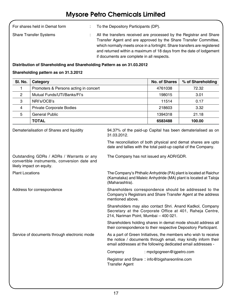| For shares held in Demat form | To the Depository Participants (DP).                                                                                                                                                                                                                                                                                                     |
|-------------------------------|------------------------------------------------------------------------------------------------------------------------------------------------------------------------------------------------------------------------------------------------------------------------------------------------------------------------------------------|
| <b>Share Transfer Systems</b> | All the transfers received are processed by the Registrar and Share<br>Transfer Agent and are approved by the Share Transfer Committee.<br>which normally meets once in a fortnight. Share transfers are registered<br>and returned within a maximum of 18 days from the date of lodgement<br>if documents are complete in all respects. |

### **Distribution of Shareholding and Shareholding Pattern as on 31.03.2012**

### **Shareholding pattern as on 31.3.2012**

| SI. No.                | Category                                                                                                              |                                                                                                                                                                                                  | <b>No. of Shares</b>      | % of Shareholding                                                |
|------------------------|-----------------------------------------------------------------------------------------------------------------------|--------------------------------------------------------------------------------------------------------------------------------------------------------------------------------------------------|---------------------------|------------------------------------------------------------------|
| 1                      | Promoters & Persons acting in concert                                                                                 |                                                                                                                                                                                                  | 4761038                   | 72.32                                                            |
| 2                      | Mutual Funds/UTI/Banks/FI's                                                                                           |                                                                                                                                                                                                  | 198015                    | 3.01                                                             |
| 3                      | NRI's/OCB's                                                                                                           |                                                                                                                                                                                                  | 11514                     | 0.17                                                             |
| 4                      | <b>Private Corporate Bodies</b>                                                                                       |                                                                                                                                                                                                  | 218603                    | 3.32                                                             |
| 5                      | <b>General Public</b>                                                                                                 |                                                                                                                                                                                                  | 1394318                   | 21.18                                                            |
|                        | <b>TOTAL</b>                                                                                                          |                                                                                                                                                                                                  | 6583488                   | 100.00                                                           |
|                        | Dematerialisation of Shares and liquidity                                                                             | 94.37% of the paid-up Capital has been dematerialised as on<br>31.03.2012.                                                                                                                       |                           |                                                                  |
|                        |                                                                                                                       | The reconciliation of both physical and demat shares are upto<br>date and tallies with the total paid-up capital of the Company.                                                                 |                           |                                                                  |
|                        | Outstanding GDRs / ADRs / Warrants or any<br>convertible instruments, conversion date and<br>likely impact on equity. | The Company has not issued any ADR/GDR.                                                                                                                                                          |                           |                                                                  |
| <b>Plant Locations</b> |                                                                                                                       | The Company's Phthalic Anhydride (PA) plant is located at Raichur<br>(Maharashtra).                                                                                                              |                           | (Karnataka) and Maleic Anhydride (MA) plant is located at Taloja |
|                        | Address for correspondence                                                                                            | Shareholders correspondence should be addressed to the<br>Company's Registrars and Share Transfer Agent at the address<br>mentioned above.                                                       |                           |                                                                  |
|                        |                                                                                                                       | Shareholders may also contact Shri. Anand Kadkol, Company<br>Secretary at the Corporate Office at 401, Raheja Centre,<br>214, Nariman Point, Mumbai - 400 021.                                   |                           |                                                                  |
|                        |                                                                                                                       | Shareholders holding shares in demat mode should address all<br>their correspondence to their respective Depository Participant.                                                                 |                           |                                                                  |
|                        | Service of documents through electronic mode                                                                          | As a part of Green Initiatives, the members who wish to receive<br>the notice / documents through email, may kindly inform their<br>email addresses at the following dedicated email addresses - |                           |                                                                  |
|                        |                                                                                                                       | Company                                                                                                                                                                                          | : mpclgogreen@igpetro.com |                                                                  |
|                        |                                                                                                                       | Registrar and Share: info@bigshareonline.com<br><b>Transfer Agent</b>                                                                                                                            |                           |                                                                  |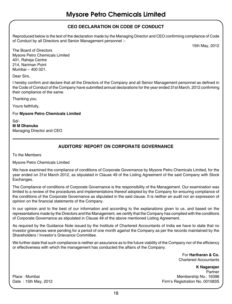### **CEO Declaration on Code of Conduct**

Reproduced below is the text of the declaration made by the Managing Director and CEO confirming compliance of Code of Conduct by all Directors and Senior Management personnel :-

15th May, 2012

The Board of Directors Mysore Petro Chemicals Limited 401, Raheja Centre 214, Nariman Point Mumbai – 400 021.

Dear Sirs,

I hereby confirm and declare that all the Directors of the Company and all Senior Management personnel as defined in the Code of Conduct of the Company have submitted annual declarations for the year ended 31st March, 2012 confirming their compliance of the same.

Thanking you.

Yours faithfully,

For **Mysore Petro Chemicals Limited**

Sd/- **M M Dhanuka**  Managing Director and CEO

### **Auditors' Report on Corporate Governance**

To the Members

Mysore Petro Chemicals Limited

We have examined the compliance of conditions of Corporate Governance by Mysore Petro Chemicals Limited, for the year ended on 31st March 2012, as stipulated in Clause 49 of the Listing Agreement of the said Company with Stock Exchanges.

The Compliance of conditions of Corporate Governance is the responsibility of the Management. Our examination was limited to a review of the procedures and implementations thereof adopted by the Company for ensuring compliance of the conditions of the Corporate Governance as stipulated in the said clause. It is neither an audit nor an expression of opinion on the financial statements of the Company.

In our opinion and to the best of our information and according to the explanations given to us, and based on the representations made by the Directors and the Management, we certify that the Company has complied with the conditions of Corporate Governance as stipulated in Clause 49 of the above mentioned Listing Agreement.

As required by the Guidance Note issued by the Institute of Chartered Accountants of India we have to state that no investor grievances were pending for a period of one month against the Company as per the records maintained by the Shareholders / Investor's Grievance Committee.

We further state that such compliance is neither an assurance as to the future viability of the Company nor of the efficiency or effectiveness with which the management has conducted the affairs of the Company.

> For **Hariharan & Co.**  Chartered Accountants

**K Nagarajan**  Partner Place : Mumbai Membership No.: 16398 Date : 15th May, 2012 **Firm's Registration No. 001083S**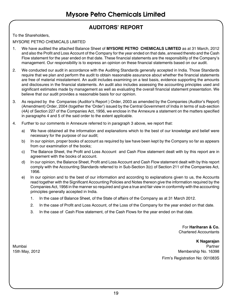### **AUDITORS' REPORT**

To the Shareholders,

MYSORE PETRO CHEMICALS LIMITED

- 1. We have audited the attached Balance Sheet of **MYSORE PETRO CHEMICALS LIMITED** as at 31 March, 2012 and also the Profit and Loss Account of the Company for the year ended on that date, annexed thereto and the Cash Flow statement for the year ended on that date. These financial statements are the responsibility of the Company's management. Our responsibility is to express an opinion on these financial statements based on our audit.
- 2. We conducted our audit in accordance with the Auditing Standards generally accepted in India. Those Standards require that we plan and perform the audit to obtain reasonable assurance about whether the financial statements are free of material misstatement. An audit includes examining on a test basis, evidence supporting the amounts and disclosures in the financial statements. An audit also includes assessing the accounting principles used and significant estimates made by management as well as evaluating the overall financial statement presentation. We believe that our audit provides a reasonable basis for our opinion.
- 3. As required by the Companies (Auditor's Report ) Order, 2003 as amended by the Companies (Auditor's Report) (Amendment) Order, 2004 (together the 'Order') issued by the Central Government of India in terms of sub-section (4A) of Section 227 of the Companies Act, 1956, we enclose in the Annexure a statement on the matters specified in paragraphs 4 and 5 of the said order to the extent applicable.
- 4. Further to our comments in Annexure referred to in paragraph 3 above, we report that:
	- a) We have obtained all the information and explanations which to the best of our knowledge and belief were necessary for the purpose of our audit;
	- b) In our opinion, proper books of account as required by law have been kept by the Company so far as appears from our examination of the books;
	- c) The Balance Sheet, the Profit and Loss Account and Cash Flow statement dealt with by this report are in agreement with the books of account.
	- d) In our opinion, the Balance Sheet, Profit and Loss Account and Cash Flow statement dealt with by this report comply with the Accounting Standards referred to in Sub-Section 3(c) of Section 211 of the Companies Act, 1956.
	- e) In our opinion and to the best of our information and according to explanations given to us, the Accounts read together with the Significant Accounting Policies and Notes thereon give the information required by the Companies Act, 1956 in the manner so required and give a true and fair view in conformity with the accounting principles generally accepted in India.
		- 1. In the case of Balance Sheet, of the State of affairs of the Company as at 31 March 2012.
		- 2. In the case of Profit and Loss Account, of the Loss of the Company for the year ended on that date.
		- 3. In the case of Cash Flow statement, of the Cash Flows for the year ended on that date.

For **Hariharan & Co.** Chartered Accountants

**K Nagarajan**  Mumbai Partner 15th May, 2012 Membership No. 16398 Firm's Registration No: 001083S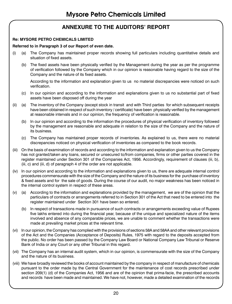## **ANNEXURE TO THE AUDITORS' REPORT**

### **Re: MYSORE PETRO CHEMICALS LIMITED**

### **Referred to in Paragraph 3 of our Report of even date.**

- (i) (a) The Company has maintained proper records showing full particulars including quantitative details and situation of fixed assets.
	- (b) The fixed assets have been physically verified by the Management during the year as per the programme of verification followed by the Company which in our opinion is reasonable having regard to the size of the Company and the nature of its fixed assets.

According to the information and explanation given to us no material discrepancies were noticed on such verification.

- (c) In our opinion and according to the information and explanations given to us no substantial part of fixed assets have been disposed off during the year
- (ii) (a) The inventory of the Company (except stock in transit and with Third parties for which subsequent receipts have been obtained in respect of such inventory / certificate) have been physically verified by the management at reasonable intervals and in our opinion, the frequency of verification is reasonable.
	- (b) In our opinion and according to the information the procedures of physical verification of inventory followed by the management are reasonable and adequate in relation to the size of the Company and the nature of its business.
	- (c) The Company has maintained proper records of inventories. As explained to us, there were no material discrepancies noticed on physical verification of inventories as compared to the book records.
- (iii) On the basis of examination of records and according to the information and explanation given to us the Company has not granted/taken any loans, secured or unsecured to/from companies, firms or other parties covered in the register maintained under Section 301 of the Companies Act, 1956. Accordingly, requirement of clauses (iii, b), (iii, c) and (iii, d) of paragraph 4 of the order are not applicable.
- (iv) In our opinion and according to the information and explanations given to us, there are adequate internal control procedures commensurate with the size of the Company and the nature of its business for the purchase of inventory & fixed assets and for the sale of goods. During the course of our audit, no major weakness has been noticed in the internal control system in respect of these areas.
- (v) (a) According to the information and explanations provided by the management, we are of the opinion that the particulars of contracts or arrangements referred to in Section 301 of the Act that need to be entered into the register maintained under Section 301 have been so entered.
	- (b) In respect of transactions made in pursuance of such contracts or arrangements exceeding value of Rupees five lakhs entered into during the financial year, because of the unique and specialized nature of the items involved and absence of any comparable prices, we are unable to comment whether the transactions were made at prevailing market prices at the relevant time.
- (vi) In our opinion, the Company has complied with the provisions of sections 58A and 58AA and other relevant provisions of the Act and the Companies (Acceptance of Deposits) Rules, 1975 with regard to the deposits accepted from the public. No order has been passed by the Company Law Board or National Company Law Tribunal or Reserve Bank of India or any Court or any other Tribunal in this regard.
- (vii) The Company has an internal audit system, which in our opinion, is commensurate with the size of the Company and the nature of its business.
- (viii) We have broadly reviewed the books of account maintained by the company in respect of manufacture of chemicals pursuant to the order made by the Central Government for the maintenance of cost records prescribed under section 209(1) (d) of the Companies Act, 1956 and are of the opinion that prima-facie, the prescribed accounts and records have been made and maintained. We have not, however, made a detailed examination of the records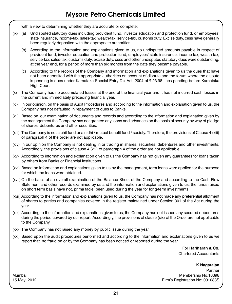with a view to determining whether they are accurate or complete:

- (ix) (a) Undisputed statutory dues including provident fund, investor education and protection fund, or employees' state insurance, income-tax, sales-tax, wealth-tax, service-tax, customs duty, Excise duty, cess have generally been regularly deposited with the appropriate authorities.
	- (b) According to the information and explanations given to us, no undisputed amounts payable in respect of provident fund, investor education and protection fund, employees' state insurance, income-tax, wealth-tax, service-tax, sales-tax, customs duty, excise duty, cess and other undisputed statutory dues were outstanding, at the year end, for a period of more than six months from the date they became payable.
	- (c) According to the records of the Company and information and explanations given to us the dues that have not been deposited with the appropriate authorities on account of dispute and the forum where the dispute is pending is dues under Karnataka Special Entry Tax Act, 2004 of ₹ 23.98 Lacs pending before Karnataka High Court.
- (x) The Company has no accumulated losses at the end of the financial year and it has not incurred cash losses in the current and immediately preceding financial year.
- (xi) In our opinion, on the basis of Audit Procedures and according to the information and explanation given to us, the Company has not defaulted in repayment of dues to Banks.
- (xii) Based on our examination of documents and records and according to the information and explanation given by the management the Company has not granted any loans and advances on the basis of security by way of pledge of shares, debentures and other securities.
- (xiii) The Company is not a chit fund or a nidhi / mutual benefit fund / society. Therefore, the provisions of Clause 4 (xiii) of paragraph 4 of the order are not applicable.
- (xiv) In our opinion the Company is not dealing in or trading in shares, securities, debentures and other investments. Accordingly, the provisions of clause 4 (xiv) of paragraph 4 of the order are not applicable.
- (xv) According to information and explanation given to us the Company has not given any guarantees for loans taken by others from Banks or Financial Institutions.
- (xvi) Based on information and explanations given to us by the management, term loans were applied for the purpose for which the loans were obtained.
- (xvii) On the basis of an overall examination of the Balance Sheet of the Company and according to the Cash Flow Statement and other records examined by us and the information and explanations given to us, the funds raised on short term basis have not, prima facie, been used during the year for long-term investments.
- (xviii) According to the information and explanations given to us, the Company has not made any preferential allotment of shares to parties and companies covered in the register maintained under Section 301 of the Act during the year.
- (xix) According to the information and explanations given to us, the Company has not issued any secured debentures during the period covered by our report. Accordingly, the provisions of clause (xix) of the Order are not applicable to the Company.
- (xx) The Company has not raised any money by public issue during the year.
- (xxi) Based upon the audit procedures performed and according to the information and explanations given to us we report that no fraud on or by the Company has been noticed or reported during the year.

For **Hariharan & Co.** Chartered Accountants

### **K Nagarajan**

Partner Mumbai Membership No.16398 15 May, 2012 Firm's Registration No: 001083S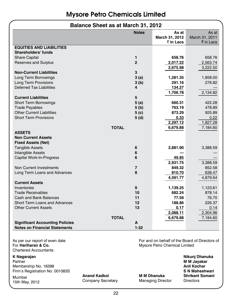### **Balance Sheet as at March 31, 2012**

|                                                        | <b>Notes</b>   | As at                                          | As at              |
|--------------------------------------------------------|----------------|------------------------------------------------|--------------------|
|                                                        |                | March 31, 2012                                 | March 31, 2011     |
|                                                        |                | ₹ in Lacs                                      | ₹ in Lacs          |
| <b>EQUITIES AND LIABILITIES</b><br>Shareholders' funds |                |                                                |                    |
| <b>Share Capital</b>                                   | 1              | 658.76                                         | 658.76             |
| <b>Reserves and Surplus</b>                            | $\overline{2}$ | 2,017.22                                       | 2,563.74           |
|                                                        |                | 2,675.98                                       | 3,222.50           |
| <b>Non-Current Liabilities</b>                         | 3              |                                                |                    |
| Long Term Borrowings                                   | 3(a)           |                                                |                    |
| Long Term Provisions                                   |                | 1,281.35<br>291.16                             | 1,858.00<br>276.82 |
|                                                        | 3(b)           |                                                |                    |
| <b>Deferred Tax Liabilities</b>                        | 4              | 134.27                                         |                    |
|                                                        |                | 1,706.78                                       | 2,134.82           |
| <b>Current Liabilities</b>                             | 5              |                                                |                    |
| <b>Short Term Borrowings</b>                           | 5 (a)          | 660.31                                         | 422.28             |
| <b>Trade Payables</b>                                  | 5 (b)          | 763.19                                         | 478.89             |
| <b>Other Current Liabilities</b>                       | 5( c)          | 873.29                                         | 925.89             |
| <b>Short Term Provisions</b>                           | 5 (d)          | 0.33                                           | 0.22               |
|                                                        |                | 2,297.12                                       | 1,827.28           |
|                                                        | <b>TOTAL</b>   | 6,679.88                                       | 7,184.60           |
| <b>ASSETS</b>                                          |                |                                                |                    |
| <b>Non Current Assets</b>                              |                |                                                |                    |
| <b>Fixed Assets (Net)</b>                              |                |                                                |                    |
| <b>Tangible Assets</b>                                 | 6              | 2,881.90                                       | 3,388.59           |
| Intangible Assets                                      | 6              |                                                |                    |
| Capital Work-In-Progress                               | 6              | 49.85                                          |                    |
|                                                        |                | 2,931.75                                       | 3,388.59           |
| Non Current Investments                                | $\overline{7}$ | 849.32                                         | 852.58             |
| Long Term Loans and Advances                           | 8              | 810.70                                         | 638.47             |
|                                                        |                | 4,591.77                                       | 4,879.64           |
| <b>Current Assets</b>                                  |                |                                                |                    |
| Inventories                                            | 9              | 1,139.25                                       | 1,123.61           |
| <b>Trade Receivables</b>                               | 10             | 682.24                                         | 878.14             |
| Cash and Bank Balances                                 | 11             | 77.59                                          | 76.70              |
| Short Term Loans and Advances                          | 12             | 188.86                                         | 226.37             |
| <b>Other Current Assets</b>                            | 13             | 0.17                                           | 0.14               |
|                                                        |                | 2,088.11                                       | 2,304.96           |
|                                                        | <b>TOTAL</b>   |                                                |                    |
| <b>Significant Accounting Policies</b>                 | A              | 6,679.88                                       | 7,184.60           |
|                                                        | $1 - 32$       |                                                |                    |
| <b>Notes on Financial Statements</b>                   |                |                                                |                    |
|                                                        |                |                                                |                    |
| As per our report of even date                         |                | For and on behalf of the Board of Directors of |                    |
| For Hariharan & Co.                                    |                | Mysore Petro Chemical Limited                  |                    |
| <b>Chartered Accountants</b>                           |                |                                                |                    |
| K Nagarajan                                            |                |                                                | Nikunj Dhanuka     |

Partner **M M Jayakar** Membership No. 16398 Firm's Registration No: 001083S **S N Maheshwari**

Mumbai **Anand Kadkol M M Dhanuka Shrikant Somani** 15th May, 2012 Company Secretary Managing Director Directors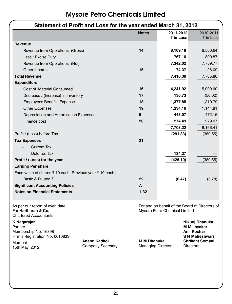| Statement of Profit and Loss for the year ended March 31, 2012                                                        |                    |                               |                                                                                                 |
|-----------------------------------------------------------------------------------------------------------------------|--------------------|-------------------------------|-------------------------------------------------------------------------------------------------|
|                                                                                                                       | <b>Notes</b>       | 2011-2012                     | 2010-2011                                                                                       |
|                                                                                                                       |                    | ₹ in Lacs                     | ₹ in Lacs                                                                                       |
| Revenue                                                                                                               |                    |                               |                                                                                                 |
| Revenue from Operations (Gross)                                                                                       | 14                 | 8,109.18                      | 8,560.64                                                                                        |
| Less : Excise Duty                                                                                                    |                    | 767.16                        | 800.87                                                                                          |
| Revenue from Operations (Net)                                                                                         |                    | 7,342.02                      | 7,759.77                                                                                        |
| Other Income                                                                                                          | 15                 | 74.37                         | 26.09                                                                                           |
| <b>Total Revenue</b>                                                                                                  |                    | 7,416.39                      | 7,785.86                                                                                        |
| <b>Expenditure</b>                                                                                                    |                    |                               |                                                                                                 |
| Cost of Material Consumed                                                                                             | 16                 | 4,241.92                      | 5,009.60                                                                                        |
| Decrease / (Increase) in Inventory                                                                                    | 17                 | 136.73                        | (50.02)                                                                                         |
| <b>Employees Benefits Expense</b>                                                                                     | 18                 | 1,377.85                      | 1,310.79                                                                                        |
| <b>Other Expenses</b>                                                                                                 | 19                 | 1,234.16                      | 1,144.81                                                                                        |
| Depreciation and Amortisation Expenses                                                                                | 6                  | 443.07                        | 472.16                                                                                          |
| Finance cost                                                                                                          | 20                 | 274.49                        | 279.07                                                                                          |
|                                                                                                                       |                    | 7,708.22                      | 8,166.41                                                                                        |
| Profit / (Loss) before Tax                                                                                            |                    | (291.83)                      | (380.55)                                                                                        |
| <b>Tax Expenses</b>                                                                                                   | 21                 |                               |                                                                                                 |
| <b>Current Tax</b>                                                                                                    |                    |                               |                                                                                                 |
| Deferred Tax                                                                                                          |                    | 134.27                        |                                                                                                 |
| Profit / (Loss) for the year                                                                                          |                    | (426.10)                      | (380.55)                                                                                        |
| <b>Earning Per share</b>                                                                                              |                    |                               |                                                                                                 |
| Face value of shares ₹ 10 each, Previous year ₹ 10 each)                                                              |                    |                               |                                                                                                 |
| Basic & Diluted ₹                                                                                                     | 22                 | (6.47)                        | (5.78)                                                                                          |
| <b>Significant Accounting Policies</b>                                                                                | A                  |                               |                                                                                                 |
| <b>Notes on Financial Statements</b>                                                                                  | $1 - 32$           |                               |                                                                                                 |
| As per our report of even date<br>For Hariharan & Co.<br><b>Chartered Accountants</b>                                 |                    | Mysore Petro Chemical Limited | For and on behalf of the Board of Directors of                                                  |
| K Nagarajan<br>Partner<br>Membership No. 16398<br>Firm's Registration No: 001083S<br><b>Anand Kadkol</b><br>$M$ umboi | <b>M M Dhanuka</b> |                               | Nikunj Dhanuka<br>M M Jayakar<br>Anil Kochar<br><b>S N Maheshwari</b><br><b>Shrikant Somani</b> |

Mumbai **Anand Kadkol M M Dhanuka Shrikant Somani** Company Secretary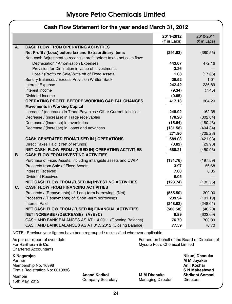|    |                                                                      | 2011-2012   | 2010-2011   |
|----|----------------------------------------------------------------------|-------------|-------------|
|    |                                                                      | (₹ in Lacs) | (₹ in Lacs) |
| А. | <b>CASH FLOW FROM OPERATING ACTIVITIES</b>                           |             |             |
|    | Net Profit / (Loss) before tax and Extraordinary Items               | (291.83)    | (380.55)    |
|    | Non-cash Adjustment to reconcile profit before tax to net cash flow: |             |             |
|    | Depreciation / Amortisation Expenses                                 | 443.07      | 472.16      |
|    | Provision for Diminution in value of investments                     | 3.26        |             |
|    | Loss / (Profit) on Sale/Write off of Fixed Assets                    | 1.08        | (17.86)     |
|    | Sundry Balances / Excess Provision Written Back                      | 28.52       | 1.01        |
|    | <b>Interest Expense</b>                                              | 242.42      | 236.89      |
|    | Interest Income                                                      | (9.34)      | (7.45)      |
|    | Dividend Income                                                      | (0.05)      |             |
|    | OPERATING PROFIT BEFORE WORKING CAPITAL CHANGES                      | 417.13      | 304.20      |
|    | <b>Movements in Working Capital</b>                                  |             |             |
|    | Increase / (decrease) in Trade Payables / Other Current liabilities  | 248.92      | 162.38      |
|    | Decrease / (increase) in Trade receivables                           | 170.20      | (302.84)    |
|    | Decrease / (increase) in Inventories                                 | (15.64)     | (180.43)    |
|    | Decrease / (increase) in loans and advances                          | (131.58)    | (404.34)    |
|    |                                                                      | 271.90      | (725.23)    |
|    | <b>CASH GENERATED FROM/(USED IN) OPERATIONS</b>                      | 689.03      | (421.03)    |
|    | Direct Taxes Paid (Net of refunds)                                   | (0.82)      | (29.90)     |
|    | NET CASH FLOW FROM / (USED IN) OPERATING ACTIVITIES                  | 688.21      | (450.93)    |
| В. | <b>CASH FLOW FROM INVESTING ACTIVITIES</b>                           |             |             |
|    | Purchase of Fixed Assets, including intangible assets and CWIP       | (134.76)    | (197.59)    |
|    | Proceeds from Sale of Fixed Assets                                   | 3.97        | 56.68       |
|    | Interest Received                                                    | 7.00        | 8.35        |
|    | Dividend Received                                                    | 0.05        |             |
|    | NET CASH FLOW FROM /(USED IN) INVESTING ACTIVITIES                   | (123.74)    | (132.56)    |
| C. | <b>CASH FLOW FROM FINANCING ACTIVITIES</b>                           |             |             |
|    | Proceeds / (Repayments) of Long-term borrowings (Net)                | (555.50)    | 309.00      |
|    | Proceeds / (Repayments) of Short -term borrowings                    | 239.94      | (101.19)    |
|    | <b>Interest Paid</b>                                                 | (248.02)    | (248.01)    |
|    | <b>NET CASH FLOW FROM / (USED IN) FINANCIAL ACTIVITIES</b>           | (563.58)    | (40.20)     |
|    | NET INCREASE / (DECREASE) (A+B+C)                                    | 0.89        | (623.69)    |
|    | CASH AND BANK BALANCES AS AT 1.4.2011 (Opening Balance)              | 76.70       | 700.39      |
|    | CASH AND BANK BALANCES AS AT 31.3.2012 (Closing Balance)             | 77.59       | 76.70       |

### **Cash Flow Statement for the year ended March 31, 2012**

NOTE : Previous year figures have been regrouped / reclassified wherever applicable.

Chartered Accountants

**K Nagarajan Nikunj Dhanuka** Partner **M M Jayakar**

Membership No. 16398 **Anil Kochar Firm's Registration No: 001083S** 

Mumbai **Anand Kadkol M M Dhanuka Shrikant Somani** Mumbai **Anang Kadkol Manang Kadkol Mumbai Shrikant**<br>15th May, 2012 **Company Secretary Managing Director Directors** 

As per our report of even date<br>For **Hariharan & Co. For and on behalf of the Board of Directors of For Hariharan & Co.** Mysore Petro Chemical I imited **Mysore Petro Chemical Limited**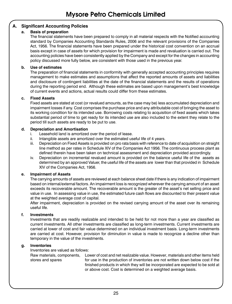### **A. Significant Accounting Policies**

### **a. Basis of preparation**

The financial statements have been prepared to comply in all material respects with the Notified accounting standard by Companies Accounting Standards Rules, 2006 and the relevant provisions of the Companies Act, 1956. The financial statements have been prepared under the historical cost convention on an accrual basis except in case of assets for which provision for impairment is made and revaluation is carried out. The accounting policies have been consistently applied by the Company and except for the changes in accounting policy discussed more fully below, are consistent with those used in the previous year.

### **b. Use of estimates**

The preparation of financial statements in conformity with generally accepted accounting principles requires management to make estimates and assumptions that affect the reported amounts of assets and liabilities and disclosure of contingent liabilities at the date of the financial statements and the results of operations during the reporting period end. Although these estimates are based upon management's best knowledge of current events and actions, actual results could differ from these estimates.

### **c. Fixed Assets**

Fixed assets are stated at cost (or revalued amounts, as the case may be) less accumulated depreciation and impairment losses if any. Cost comprises the purchase price and any attributable cost of bringing the asset to its working condition for its intended use. Borrowing costs relating to acquisition of fixed assets which takes substantial period of time to get ready for its intended use are also included to the extent they relate to the period till such assets are ready to be put to use.

### **d. Depreciation and Amortisation**

- i. Leasehold land is amortized over the period of lease.
- ii. Intangible assets are amortized over the estimated useful life of 4 years.
- iii. Depreciation on Fixed Assets is provided on pro rata basis with reference to date of acquisition on straight line method as per rates in Schedule XIV of the Companies Act 1956. The continuous process plant as defined therein have been taken on technical assessment and depreciation provided accordingly.
- iv. Depreciation on incremental revalued amount is provided on the balance useful life of the assets as determined by an approved Valuer, the useful life of the assets are lower than that provided in Schedule XIV of the Companies Act, 1956.

### **e. Impairment of Assets**

The carrying amounts of assets are reviewed at each balance sheet date if there is any indication of impairment based on internal/external factors. An impairment loss is recognized wherever the carrying amount of an asset exceeds its recoverable amount. The recoverable amount is the greater of the asset's net selling price and value in use. In assessing value in use, the estimated future cash flows are discounted to their present value at the weighted average cost of capital.

After impairment, depreciation is provided on the revised carrying amount of the asset over its remaining useful life.

### **f. Investments**

Investments that are readily realizable and intended to be held for not more than a year are classified as current investments. All other investments are classified as long-term investments. Current investments are carried at lower of cost and fair value determined on an individual investment basis. Long-term investments are carried at cost. However, provision for diminution in value is made to recognize a decline other than temporary in the value of the investments.

### **g. Inventories**

Inventories are valued as follows:

Raw materials, components, stores and spares Lower of cost and net realizable value. However, materials and other items held for use in the production of inventories are not written down below cost if the finished products in which they will be incorporated are expected to be sold at or above cost. Cost is determined on a weighted average basis.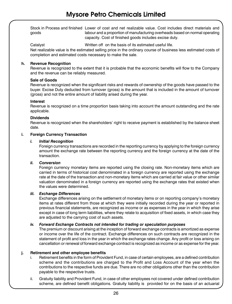Stock in Process and finished Lower of cost and net realizable value. Cost includes direct materials and goods labour and a proportion of manufacturing overheads based on normal operating capacity. Cost of finished goods includes excise duty.

Catalyst Catalyst Written off on the basis of its estimated useful life.

Net realizable value is the estimated selling price in the ordinary course of business less estimated costs of completion and estimated costs necessary to make the sale.

### **h. Revenue Recognition**

Revenue is recognized to the extent that it is probable that the economic benefits will flow to the Company and the revenue can be reliably measured.

### **Sale of Goods**

Revenue is recognized when the significant risks and rewards of ownership of the goods have passed to the buyer. Excise Duty deducted from turnover (gross) is the amount that is included in the amount of turnover (gross) and not the entire amount of liability arised during the year.

### **Interest**

Revenue is recognized on a time proportion basis taking into account the amount outstanding and the rate applicable.

### **Dividends**

Revenue is recognized when the shareholders' right to receive payment is established by the balance sheet date.

### **i. Foreign Currency Transaction**

### *i. Initial Recognition*

Foreign currency transactions are recorded in the reporting currency by applying to the foreign currency amount the exchange rate between the reporting currency and the foreign currency at the date of the transaction.

### *ii. Conversion*

Foreign currency monetary items are reported using the closing rate. Non-monetary items which are carried in terms of historical cost denominated in a foreign currency are reported using the exchange rate at the date of the transaction and non-monetary items which are carried at fair value or other similar valuation denominated in a foreign currency are reported using the exchange rates that existed when the values were determined.

### *iii. Exchange Differences*

Exchange differences arising on the settlement of monetary items or on reporting company's monetary items at rates different from those at which they were initially recorded during the year or reported in previous financial statements, are recognized as income or as expenses in the year in which they arise except in case of long term liabilities, where they relate to acquisition of fixed assets, in which case they are adjusted to the carrying cost of such assets.

### *iv. Forward Exchange Contracts not intended for trading or speculation purposes*

The premium or discount arising at the inception of forward exchange contracts is amortized as expense or income over the life of the contract. Exchange differences on such contracts are recognized in the statement of profit and loss in the year in which the exchange rates change. Any profit or loss arising on cancellation or renewal of forward exchange contract is recognized as income or as expense for the year.

### **j. Retirement and other employee benefits**

- Retirement benefits in the form of Provident Fund, in case of certain employees, are a defined contribution scheme and the contributions are charged to the Profit and Loss Account of the year when the contributions to the respective funds are due. There are no other obligations other than the contribution payable to the respective trusts.
- ii. Gratuity liability and Provident Fund, in case of other employees not covered under defined contribution scheme, are defined benefit obligations. Gratuity liability is provided for on the basis of an actuarial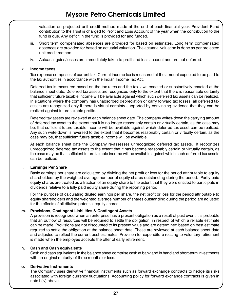valuation on projected unit credit method made at the end of each financial year. Provident Fund contribution to the Trust is charged to Profit and Loss Account of the year when the contribution to the fund is due. Any deficit in the fund is provided for and funded.

- iii. Short term compensated absences are provided for based on estimates. Long term compensated absences are provided for based on actuarial valuation. The actuarial valuation is done as per projected unit credit method.
- iv. Actuarial gains/losses are immediately taken to profit and loss account and are not deferred.

#### **k. Income taxes**

Tax expense comprises of current tax. Current income tax is measured at the amount expected to be paid to the tax authorities in accordance with the Indian Income Tax Act.

Deferred tax is measured based on the tax rates and the tax laws enacted or substantively enacted at the balance sheet date. Deferred tax assets are recognized only to the extent that there is reasonable certainty that sufficient future taxable income will be available against which such deferred tax assets can be realized. In situations where the company has unabsorbed depreciation or carry forward tax losses, all deferred tax assets are recognized only if there is virtual certainty supported by convincing evidence that they can be realized against future taxable profits.

Deferred tax assets are reviewed at each balance sheet date. The company writes-down the carrying amount of deferred tax asset to the extent that it is no longer reasonably certain or virtually certain, as the case may be, that sufficient future taxable income will be available against which deferred tax asset can be realized. Any such write-down is reversed to the extent that it becomes reasonably certain or virtually certain, as the case may be, that sufficient future taxable income will be available.

At each balance sheet date the Company re-assesses unrecognized deferred tax assets. It recognizes unrecognized deferred tax assets to the extent that it has become reasonably certain or virtually certain, as the case may be that sufficient future taxable income will be available against which such deferred tax assets can be realized.

### **l. Earnings Per Share**

Basic earnings per share are calculated by dividing the net profit or loss for the period attributable to equity shareholders by the weighted average number of equity shares outstanding during the period. Partly paid equity shares are treated as a fraction of an equity share to the extent that they were entitled to participate in dividends relative to a fully paid equity share during the reporting period.

For the purpose of calculating diluted earnings per share, the net profit or loss for the period attributable to equity shareholders and the weighted average number of shares outstanding during the period are adjusted for the effects of all dilutive potential equity shares.

### **m. Provisions, Contingent Liabilities & Contingent Assets**

A provision is recognized when an enterprise has a present obligation as a result of past event it is probable that an outflow of resources will be required to settle the obligation, in respect of which a reliable estimate can be made. Provisions are not discounted to its present value and are determined based on best estimate required to settle the obligation at the balance sheet date. These are reviewed at each balance sheet date and adjusted to reflect the current best estimates. Provision for expenditure relating to voluntary retirement is made when the employee accepts the offer of early retirement.

### **n. Cash and Cash equivalents**

Cash and cash equivalents in the balance sheet comprise cash at bank and in hand and short-term investments with an original maturity of three months or less.

### **o. Derivative Instruments**

The Company uses derivative financial instruments such as forward exchange contracts to hedge its risks associated with foreign currency fluctuations. Accounting policy for forward exchange contracts is given in note i (iv) above.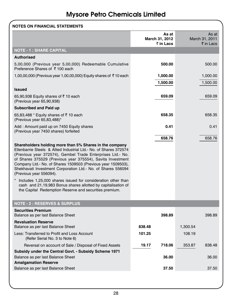| <b>NOTES ON FINANCIAL STATEMENTS</b>                                                                                                                                                                                                                                                                                                                                                                            |                                      |          |                                      |
|-----------------------------------------------------------------------------------------------------------------------------------------------------------------------------------------------------------------------------------------------------------------------------------------------------------------------------------------------------------------------------------------------------------------|--------------------------------------|----------|--------------------------------------|
|                                                                                                                                                                                                                                                                                                                                                                                                                 | As at<br>March 31, 2012<br>₹ in Lacs |          | As at<br>March 31, 2011<br>₹ in Lacs |
| <b>NOTE - 1 : SHARE CAPITAL</b>                                                                                                                                                                                                                                                                                                                                                                                 |                                      |          |                                      |
| <b>Authorised</b>                                                                                                                                                                                                                                                                                                                                                                                               |                                      |          |                                      |
| 5,00,000 (Previous year 5,00,000) Redeemable Cumulative<br>Preference Shares of ₹100 each                                                                                                                                                                                                                                                                                                                       | 500.00                               |          | 500.00                               |
| 1,00,00,000 (Previous year 1,00,00,000) Equity shares of ₹10 each                                                                                                                                                                                                                                                                                                                                               | 1,000.00                             |          | 1,000.00                             |
|                                                                                                                                                                                                                                                                                                                                                                                                                 | 1,500.00                             |          | 1,500.00                             |
| <b>Issued</b>                                                                                                                                                                                                                                                                                                                                                                                                   |                                      |          |                                      |
| 65,90,938 Equity shares of $\bar{z}$ 10 each<br>(Previous year 65,90,938)                                                                                                                                                                                                                                                                                                                                       | 659.09                               |          | 659.09                               |
| <b>Subscribed and Paid up</b>                                                                                                                                                                                                                                                                                                                                                                                   |                                      |          |                                      |
| 65,83,488 * Equity shares of ₹10 each<br>(Previous year 65,83,488)*                                                                                                                                                                                                                                                                                                                                             | 658.35                               |          | 658.35                               |
| Add: Amount paid up on 7450 Equity shares<br>(Previous year 7450 shares) forfeited                                                                                                                                                                                                                                                                                                                              | 0.41                                 |          | 0.41                                 |
|                                                                                                                                                                                                                                                                                                                                                                                                                 | 658.76                               |          | 658.76                               |
| Shareholders holding more than 5% Shares in the company<br>Ellenbarrie Steels & Allied Industrial Ltd. No. of Shares 372574<br>(Previous year 372574), Gembel Trade Enterprises Ltd. No.<br>of Shares 375529 (Previous year 375554), Savita Investment<br>Company Ltd. No. of Shares 1509503 (Previous year 1509503),<br>Shekhavati Investment Corporation Ltd. No. of Shares 556094<br>(Previous year 556094). |                                      |          |                                      |
| Includes 1,25,000 shares issued for consideration other than<br>cash and 21,19,983 Bonus shares allotted by capitalisation of<br>the Capital Redemption Reserve and securities premium.                                                                                                                                                                                                                         |                                      |          |                                      |
| <b>NOTE - 2: RESERVES &amp; SURPLUS</b>                                                                                                                                                                                                                                                                                                                                                                         |                                      |          |                                      |
| <b>Securities Premium</b><br>Balance as per last Balance Sheet                                                                                                                                                                                                                                                                                                                                                  | 398.89                               |          | 398.89                               |
| <b>Revaluation Reserve</b><br>Balance as per last Balance Sheet                                                                                                                                                                                                                                                                                                                                                 | 838.48                               | 1,300.54 |                                      |
| Less: Transferred to Profit and Loss Account<br>(Refer Serial No. 3 to Note 6)                                                                                                                                                                                                                                                                                                                                  | 101.25                               | 108.19   |                                      |
| Reversal on account of Sale / Disposal of Fixed Assets                                                                                                                                                                                                                                                                                                                                                          | 19.17<br>718.06                      | 353.87   | 838.48                               |
| Subsidy under the Central Govt. - Subsidy Scheme 1971                                                                                                                                                                                                                                                                                                                                                           |                                      |          |                                      |
| Balance as per last Balance Sheet<br><b>Amalgamation Reserve</b>                                                                                                                                                                                                                                                                                                                                                | 36.00                                |          | 36.00                                |
| Balance as per last Balance Sheet                                                                                                                                                                                                                                                                                                                                                                               | 37.50                                |          | 37.50                                |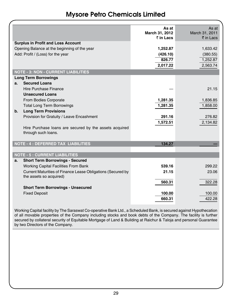|               |                                                             | As at<br>March 31, 2012 | As at<br>March 31, 2011    |
|---------------|-------------------------------------------------------------|-------------------------|----------------------------|
|               |                                                             | $\bar{z}$ in Lacs       | $\bar{\bar{\tau}}$ in Lacs |
|               | <b>Surplus in Profit and Loss Account</b>                   |                         |                            |
|               | Opening Balance at the beginning of the year                | 1,252.87                | 1,633.42                   |
|               | Add: Profit / (Loss) for the year                           | (426.10)                | (380.55)                   |
|               |                                                             | 826.77                  | 1,252.87                   |
|               |                                                             | 2,017.22                | 2,563.74                   |
|               | <b>NOTE - 3: NON - CURRENT LIABILITIES</b>                  |                         |                            |
|               | <b>Long Term Borrowings</b>                                 |                         |                            |
| a.            | <b>Secured Loans</b>                                        |                         |                            |
|               | Hire Purchase Finance                                       |                         | 21.15                      |
|               | <b>Unsecured Loans</b>                                      |                         |                            |
|               | From Bodies Corporate                                       | 1,281.35                | 1,836.85                   |
|               | <b>Total Long Term Borrowings</b>                           | 1,281.35                | 1,858.00                   |
| $\mathbf b$ . | <b>Long Term Provisions</b>                                 |                         |                            |
|               | Provision for Gratuity / Leave Encashment                   | 291.16                  | 276.82                     |
|               |                                                             | 1,572.51                | 2,134.82                   |
|               | Hire Purchase loans are secured by the assets acquired      |                         |                            |
|               | through such loans.                                         |                         |                            |
|               |                                                             |                         |                            |
|               | NOTE - 4 : DEFERRED TAX LIABILITIES                         | 134.27                  |                            |
|               |                                                             |                         |                            |
|               | <b>NOTE - 5 : CURRENT LIABILITIES</b>                       |                         |                            |
| a.            | <b>Short Term Borrowings - Secured</b>                      |                         |                            |
|               | Working Capital Facilities From Bank                        | 539.16                  | 299.22                     |
|               | Current Maturities of Finance Lease Obligations (Secured by | 21.15                   | 23.06                      |
|               | the assets so acquired)                                     |                         |                            |
|               |                                                             | 560.31                  | 322.28                     |
|               | <b>Short Term Borrowings - Unsecured</b>                    |                         |                            |
|               | <b>Fixed Deposit</b>                                        | 100.00                  | 100.00                     |
|               |                                                             | 660.31                  | 422.28                     |
|               |                                                             |                         |                            |

Working Capital facility by The Saraswat Co-operative Bank Ltd., a Scheduled Bank, is secured against Hypothecation of all movable properties of the Company including stocks and book debts of the Company. The facility is further secured by collateral security of Equitable Mortgage of Land & Building at Raichur & Taloja and personal Guarantee by two Directors of the Company.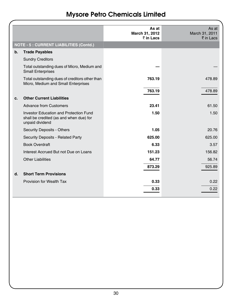|               |                                                                                                      | As at<br>March 31, 2012<br>₹ in Lacs | As at<br>March 31, 2011<br>₹ in Lacs |
|---------------|------------------------------------------------------------------------------------------------------|--------------------------------------|--------------------------------------|
|               | <b>NOTE - 5 : CURRENT LIABILITIES (Contd.)</b>                                                       |                                      |                                      |
| $\mathbf b$ . | <b>Trade Payables</b>                                                                                |                                      |                                      |
|               | <b>Sundry Creditors</b>                                                                              |                                      |                                      |
|               | Total outstanding dues of Micro, Medium and<br><b>Small Enterprises</b>                              |                                      |                                      |
|               | Total outstanding dues of creditors other than<br>Micro, Medium and Small Enterprises                | 763.19                               | 478.89                               |
|               |                                                                                                      | 763.19                               | 478.89                               |
| c.            | <b>Other Current Liabilities</b>                                                                     |                                      |                                      |
|               | <b>Advance from Customers</b>                                                                        | 23.41                                | 61.50                                |
|               | Investor Education and Protection Fund<br>shall be credited (as and when due) for<br>unpaid dividend | 1.50                                 | 1.50                                 |
|               | <b>Security Deposits - Others</b>                                                                    | 1.05                                 | 20.76                                |
|               | Security Deposits - Related Party                                                                    | 625.00                               | 625.00                               |
|               | <b>Book Overdraft</b>                                                                                | 6.33                                 | 3.57                                 |
|               | Interest Accrued But not Due on Loans                                                                | 151.23                               | 156.82                               |
|               | <b>Other Liabilities</b>                                                                             | 64.77                                | 56.74                                |
|               |                                                                                                      | 873.29                               | 925.89                               |
| d.            | <b>Short Term Provisions</b>                                                                         |                                      |                                      |
|               | Provision for Wealth Tax                                                                             | 0.33                                 | 0.22                                 |
|               |                                                                                                      | 0.33                                 | 0.22                                 |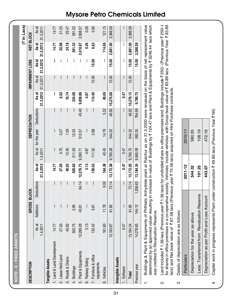|                | <b>SSETS</b><br>NOTE - 6 : FIXED A!                                                                                                                                                                                                                                            |                             |           |                                                                                                                                                                                                                                                         |                    |                          |              |            |                    |                       |                          |                    |                    |
|----------------|--------------------------------------------------------------------------------------------------------------------------------------------------------------------------------------------------------------------------------------------------------------------------------|-----------------------------|-----------|---------------------------------------------------------------------------------------------------------------------------------------------------------------------------------------------------------------------------------------------------------|--------------------|--------------------------|--------------|------------|--------------------|-----------------------|--------------------------|--------------------|--------------------|
|                |                                                                                                                                                                                                                                                                                |                             |           |                                                                                                                                                                                                                                                         |                    |                          |              |            |                    |                       |                          |                    | (₹ in Lacs)        |
|                | <b>DESCRIPTION</b>                                                                                                                                                                                                                                                             |                             | GROSS     | <b>BLOCK</b>                                                                                                                                                                                                                                            |                    |                          | DEPRECIATION |            |                    | <b>MPAIRMENT LOSS</b> |                          | NET BLOCK          |                    |
|                |                                                                                                                                                                                                                                                                                | As at<br>1.4.2011           | Additions | Deductions                                                                                                                                                                                                                                              | 31.3.2012<br>As at | <b>As at</b><br>1.4.2011 | for the year | Deductions | 31.3.2012<br>As at | 31.3.2011<br>As at    | 31.3.2012<br>As at       | 31.3.2012<br>As at | 31.3.2011<br>As at |
|                | Tangible Assets                                                                                                                                                                                                                                                                |                             |           |                                                                                                                                                                                                                                                         |                    |                          |              |            |                    |                       |                          |                    |                    |
|                | 1. Land & Land Development                                                                                                                                                                                                                                                     | 14.77                       | I         |                                                                                                                                                                                                                                                         | 14.77              |                          |              |            | I                  | I                     | I                        | 14.77              | 14.77              |
|                | 2. Lease Hold Land                                                                                                                                                                                                                                                             | 27.00                       |           |                                                                                                                                                                                                                                                         | 27.00              | 5.75                     | 0.27         |            | 6.02               |                       | I                        | 20.98              | 21.25              |
|                | 3. Roads & Drains                                                                                                                                                                                                                                                              | 40.92                       |           |                                                                                                                                                                                                                                                         | 40.92              | 15.45                    | 1.29         |            | 16.74              |                       | $\overline{\phantom{a}}$ | 24.18              | 25.47              |
|                | 4. Buildings                                                                                                                                                                                                                                                                   | 502.75                      | 2.85      |                                                                                                                                                                                                                                                         | 505.60             | 211.53                   | 12.55        |            | 224.08             |                       |                          | 281.52             | 291.22             |
|                | 5. Plant & Equipments                                                                                                                                                                                                                                                          | 12,299.28                   | 43.61     | 64.14                                                                                                                                                                                                                                                   | 12,278.75          | 9,390.71                 | 512.57       | 43.40      | 9,859.88           | L                     | $\mathbf{I}$             | 2,418.87           | 2,908.57           |
|                | 6. Railway Siding                                                                                                                                                                                                                                                              | 5.13                        |           | $\overline{\phantom{a}}$                                                                                                                                                                                                                                | 5.13               | 4.87                     |              |            | 4.87               |                       | I                        | 0.26               | 0.26               |
|                | 7. Furniture & office<br>equipments                                                                                                                                                                                                                                            | 132.42                      | 3.61      |                                                                                                                                                                                                                                                         | 136.03             | 111.52                   | 2.88         |            | 114.40             | 15.00                 | 15.00                    | 6.63               | 5.90               |
| $\dot{\infty}$ | Vehicles                                                                                                                                                                                                                                                                       | 161.60                      | 11.78     | 00.6                                                                                                                                                                                                                                                    | 164.38             | 40.45                    | 14.76        | 5.52       | 49.69              |                       | $\mathsf{l}$             | 114.69             | 121.15             |
|                |                                                                                                                                                                                                                                                                                | 13,183.87                   | 61.85     | 73.14                                                                                                                                                                                                                                                   | 13,172.58          | 9,780.28                 | 544.32       | 48.92      | 10,275.68          | 15.00                 | 15.00                    | 2,881.90           | 3,388.59           |
|                | Intangible Assets                                                                                                                                                                                                                                                              |                             |           |                                                                                                                                                                                                                                                         |                    |                          |              |            |                    |                       |                          |                    |                    |
|                | I. Software                                                                                                                                                                                                                                                                    | 0.47                        |           |                                                                                                                                                                                                                                                         | 0.47               | 0.47                     |              |            | 0.47               |                       |                          |                    |                    |
|                | Total                                                                                                                                                                                                                                                                          | 13,184.34                   | 61.85     | 73.14                                                                                                                                                                                                                                                   | 13,173.05          | 9,780.75                 | 544.32       | 48.92      | 10,276.15          | 15.00                 | 15.00                    | 2,881.90           | 3,388.59           |
|                | Previous year                                                                                                                                                                                                                                                                  | 14,278.85                   | 164.12    | 1,258.63                                                                                                                                                                                                                                                | 13,184.34          | 9,965.09                 | 580.35       | 764.69     | 9,780.75           |                       | 15.00                    | 3,388.59           |                    |
|                | Buildings & Plant<br>determined by an<br>was credited to Fi                                                                                                                                                                                                                    | levaluation Reserve.        |           | & Equipments of Phthtalic Anhydride plant at Raichur as on 31.3.2000 were revalued on the basis of net replacement value<br>approved valuer resulting in increase in value of Buildings by ₹ 124.47 lacs and Plant & Equipments by ₹ 3246.44 lacs which |                    |                          |              |            |                    |                       |                          |                    |                    |
| ςi             | for shares in office premises in a co-operative society. Vehicles include vehicles with Gross book value of ₹ 83.89 lacs (Previous Year ₹ 83.89<br>lacs) and Net book value of ₹67.58 lacs (Previous year ₹75.56 lacs) acquired on Hire Purchase contracts.<br>Land includes ₹ |                             |           | .36 lacs (Previous year ₹ 1.36 lacs) for undivided share in office premises land. Buildings include ₹ 250/- (Previous year ₹ 250/-)                                                                                                                     |                    |                          |              |            |                    |                       |                          |                    |                    |
| ო              | Details of depreciation are as follows:                                                                                                                                                                                                                                        |                             |           |                                                                                                                                                                                                                                                         |                    |                          |              |            |                    |                       |                          |                    |                    |
|                | Particulars                                                                                                                                                                                                                                                                    |                             |           |                                                                                                                                                                                                                                                         | $2011 - 12$        |                          | 2010-11      |            |                    |                       |                          |                    |                    |
|                | Depreciation for the year as above                                                                                                                                                                                                                                             |                             |           |                                                                                                                                                                                                                                                         | 544.32             |                          | 580.35       |            |                    |                       |                          |                    |                    |
|                | Less: Transferred from Revaluation Reserve                                                                                                                                                                                                                                     |                             |           |                                                                                                                                                                                                                                                         | 101.25             |                          | 108.19       |            |                    |                       |                          |                    |                    |
|                | Depreciation as                                                                                                                                                                                                                                                                | per Profit and Loss Account |           |                                                                                                                                                                                                                                                         | 443.07             |                          | 472.16       |            |                    |                       |                          |                    |                    |

Capital work in progress represents Plant under construction ₹ 49.85 lacs (Previous Year ₹ Nil) 4. Capital work in progress represents Plant under construction ₹ 49.85 lacs (Previous Year ₹ Nil)

 $\overline{4}$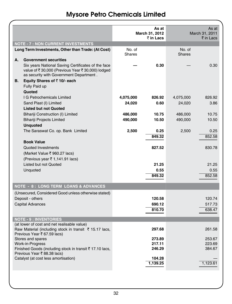|    | <b>NOTE - 7 : NON CURRENT INVESTMENTS</b>                                                                                                        |           | As at<br>March 31, 2012<br>₹ in Lacs |               | As at<br>March 31, 2011<br>$\bar{\tau}$ in Lacs |
|----|--------------------------------------------------------------------------------------------------------------------------------------------------|-----------|--------------------------------------|---------------|-------------------------------------------------|
|    | Long Term Investments, Other than Trade: (At Cost)                                                                                               | No. of    |                                      | No. of        |                                                 |
|    |                                                                                                                                                  | Shares    |                                      | <b>Shares</b> |                                                 |
| А. | <b>Government securities</b>                                                                                                                     |           |                                      |               |                                                 |
|    | Six years National Saving Certificates of the face<br>value of ₹30,000 (Previous Year ₹30,000) lodged<br>as security with Government Department. |           | 0.30                                 |               | 0.30                                            |
| В. | Equity Shares of ₹10/- each                                                                                                                      |           |                                      |               |                                                 |
|    | Fully Paid up                                                                                                                                    |           |                                      |               |                                                 |
|    | Quoted                                                                                                                                           |           |                                      |               |                                                 |
|    | I G Petrochemicals Limited                                                                                                                       | 4,075,000 | 826.92                               | 4,075,000     | 826.92                                          |
|    | Sand Plast (I) Limited                                                                                                                           | 24,020    | 0.60                                 | 24,020        | 3.86                                            |
|    | <b>Listed but not Quoted</b>                                                                                                                     |           |                                      |               |                                                 |
|    | Bihariji Construction (I) Limited                                                                                                                | 486,000   | 10.75                                | 486,000       | 10.75                                           |
|    | <b>Bihariji Projects Limited</b><br><b>Unquoted</b>                                                                                              | 490,000   | 10.50                                | 490,000       | 10.50                                           |
|    | The Saraswat Co. op. Bank Limited                                                                                                                | 2,500     | 0.25                                 | 2,500         | 0.25                                            |
|    |                                                                                                                                                  |           | 849.32                               |               | 852.58                                          |
|    | <b>Book Value</b>                                                                                                                                |           |                                      |               |                                                 |
|    | Quoted Investments                                                                                                                               |           | 827.52                               |               | 830.78                                          |
|    | (Market Value ₹ 960.27 lacs)                                                                                                                     |           |                                      |               |                                                 |
|    | (Previous year ₹ 1,141.91 lacs)                                                                                                                  |           |                                      |               |                                                 |
|    | Listed but not Quoted                                                                                                                            |           | 21.25                                |               | 21.25                                           |
|    | Unquoted                                                                                                                                         |           | 0.55                                 |               | 0.55                                            |
|    |                                                                                                                                                  |           | 849.32                               |               | 852.58                                          |
|    | <b>NOTE - 8: LONG TERM LOANS &amp; ADVANCES</b>                                                                                                  |           |                                      |               |                                                 |
|    | (Unsecured, Considered Good unless otherwise stated)                                                                                             |           |                                      |               |                                                 |
|    | Deposit - others                                                                                                                                 |           | 120.58                               |               | 120.74                                          |
|    | <b>Capital Advances</b>                                                                                                                          |           | 690.12                               |               | 517.73                                          |
|    |                                                                                                                                                  |           | 810.70                               |               | 638.47                                          |
|    |                                                                                                                                                  |           |                                      |               |                                                 |
|    | <b>NOTE - 9 : INVENTORIES</b><br>(at lower of cost and net realisable value)                                                                     |           |                                      |               |                                                 |
|    | Raw Material (including stock in transit $\bar{\tau}$ 15.17 lacs,<br>Previous Year ₹ 67.59 lacs)                                                 |           | 297.68                               |               | 261.58                                          |
|    | Stores and spares                                                                                                                                |           | 273.89                               |               | 253.67                                          |
|    | Work-in-Progress                                                                                                                                 |           | 217.11                               |               | 223.69                                          |
|    | Finished Goods (including stock in transit ₹17.10 lacs,<br>Previous Year ₹88.38 lacs)                                                            |           | 246.29                               |               | 384.67                                          |
|    | Catalyst (at cost less amortisation)                                                                                                             |           | 104.28                               |               |                                                 |
|    |                                                                                                                                                  |           | 1,139.25                             |               | 1,123.61                                        |
|    |                                                                                                                                                  |           |                                      |               |                                                 |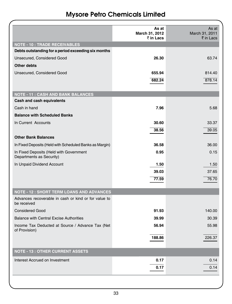|                                                                     | As at<br>March 31, 2012<br>₹ in Lacs | As at<br>March 31, 2011<br>₹ in Lacs |
|---------------------------------------------------------------------|--------------------------------------|--------------------------------------|
| <b>NOTE - 10 : TRADE RECEIVABLES</b>                                |                                      |                                      |
| Debts outstanding for a period exceeding six months                 |                                      |                                      |
| Unsecured, Considered Good                                          | 26.30                                | 63.74                                |
| <b>Other debts</b>                                                  |                                      |                                      |
| Unsecured, Considered Good                                          | 655.94                               | 814.40                               |
|                                                                     | 682.24                               | 878.14                               |
|                                                                     |                                      |                                      |
| <b>NOTE - 11 : CASH AND BANK BALANCES</b>                           |                                      |                                      |
| Cash and cash equivalents                                           |                                      |                                      |
| Cash in hand                                                        | 7.96                                 | 5.68                                 |
| <b>Balance with Scheduled Banks</b>                                 |                                      |                                      |
| In Current Accounts                                                 | 30.60                                | 33.37                                |
|                                                                     | 38.56                                | 39.05                                |
| <b>Other Bank Balances</b>                                          |                                      |                                      |
| In Fixed Deposits (Held with Scheduled Banks as Margin)             | 36.58                                | 36.00                                |
| In Fixed Deposits (Held with Government<br>Departments as Security) | 0.95                                 | 0.15                                 |
| In Unpaid Dividend Account                                          | 1.50                                 | 1.50                                 |
|                                                                     | 39.03                                | 37.65                                |
|                                                                     | 77.59                                | 76.70                                |
| <b>NOTE - 12 : SHORT TERM LOANS AND ADVANCES</b>                    |                                      |                                      |
| Advances recoverable in cash or kind or for value to                |                                      |                                      |
| be received                                                         |                                      |                                      |
| <b>Considered Good</b>                                              | 91.93                                | 140.00                               |
| <b>Balance with Central Excise Authorities</b>                      | 39.99                                | 30.39                                |
| Income Tax Deducted at Source / Advance Tax (Net<br>of Provision)   | 56.94                                | 55.98                                |
|                                                                     | 188.86                               | 226.37                               |
| <b>NOTE - 13 : OTHER CURRENT ASSETS</b>                             |                                      |                                      |
| Interest Accrued on Investment                                      | 0.17                                 | 0.14                                 |
|                                                                     | 0.17                                 | 0.14                                 |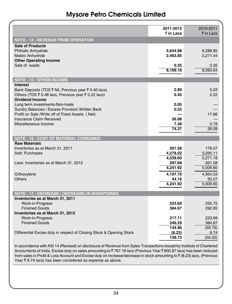|                                                                      | 2011-2012<br>₹ in Lacs | 2010-2011<br>$\bar{z}$ in Lacs |
|----------------------------------------------------------------------|------------------------|--------------------------------|
| <b>NOTE - 14 : REVENUE FROM OPERATION</b>                            |                        |                                |
| <b>Sale of Products</b>                                              |                        |                                |
| <b>Phthalic Anhydride</b>                                            | 5,644.98               | 6,288.85                       |
| Maleic Anhydride                                                     | 2,463.85               | 2,271.44                       |
| <b>Other Operating Income</b>                                        |                        |                                |
| Sale of waste                                                        | 0.35                   | 0.35                           |
|                                                                      | 8,109.18               | 8.560.64                       |
| <b>NOTE - 15: OTHER INCOME</b>                                       |                        |                                |
| <b>Interest</b>                                                      |                        |                                |
| Bank Deposits (TDS ₹ Nil, Previous year ₹ 0.40 lacs)                 | 2.89                   | 5.23                           |
| Others (TDS ₹ 0.48 lacs, Previous year ₹ 0.22 lacs)                  | 6.45                   | 2.22                           |
| <b>Dividend Income</b>                                               |                        |                                |
| Long term investments-Non-trade                                      | 0.05                   |                                |
| Sundry Balances / Excess Provision Written Back                      | 0.52                   |                                |
| Profit on Sale /Write off of Fixed Assets (Net)                      |                        | 17.86                          |
| Insurance Claim Received<br>Miscellaneous Income                     | 56.98<br>7.48          | 0.78                           |
|                                                                      | 74.37                  | 26.09                          |
|                                                                      |                        |                                |
|                                                                      |                        |                                |
| <b>NOTE - 16 : COST OF MATERIAL CONSUMED</b>                         |                        |                                |
| <b>Raw Materials</b>                                                 |                        |                                |
| Inventories as at March 31, 2011                                     | 261.58                 | 176.07                         |
| Add: Purchases                                                       | 4.278.02               | 5,095.11                       |
|                                                                      | 4,539.60               | 5,271.18                       |
| Less: Inventories as at March 31, 2012                               | 297.68                 | 261.58                         |
|                                                                      | 4,241.92               | 5,009.60                       |
| Orthoxylene                                                          | 4,197.76               | 4,954.53                       |
| Others                                                               | 44.16                  | 55.07                          |
|                                                                      | 4.241.92               | 5,009.60                       |
| <b>NOTE - 17 : DECREASE / (INCREASE) IN INVENTORIES</b>              |                        |                                |
| Inventories as at March 31, 2011                                     |                        |                                |
| Work-in-Progress                                                     | 223.69                 | 255.75                         |
| <b>Finished Goods</b>                                                | 384.67                 | 292.85                         |
| Inventories as at March 31, 2012                                     |                        |                                |
| <b>Work-in-Progress</b>                                              | 217.11                 | 223.69                         |
| <b>Finished Goods</b>                                                | 246.29                 | 384.67                         |
|                                                                      | 144.96                 | (59.76)                        |
| Differential Excise duty in respect of Closing Stock & Opening Stock | (8.23)<br>136.73       | 9.74<br>(50.02)                |

In accordance with ASI 14 (Revised) on disclosure of Revenue from Sales Transactions issued by Institute of Chartered Accountants of India, Excise duty on sales amounting to ₹767.16 lacs (Previous Year ₹800.87 lacs) has been reduced from sales in Profit & Loss Account and Excise duty on increase/decrease in stock amounting to  $\bar{z}$  (8.23) lacs, (Previous Year  $\bar{\tau}$  9.74 lacs) has been considered as expense as above.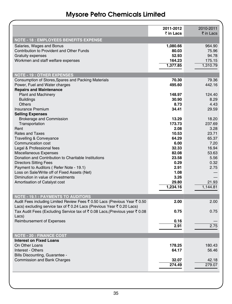|                                                                                                                                                                                                 | 2011-2012<br>₹ in Lacs                           | 2010-2011<br>$\bar{\bar{\tau}}$ in Lacs        |
|-------------------------------------------------------------------------------------------------------------------------------------------------------------------------------------------------|--------------------------------------------------|------------------------------------------------|
| <b>NOTE - 18 : EMPLOYEES BENEFITS EXPENSE</b>                                                                                                                                                   |                                                  |                                                |
| Salaries, Wages and Bonus<br>Contribution to Provident and Other Funds<br><b>Gratuity expenses</b><br>Workmen and staff welfare expenses                                                        | 1,080.66<br>80.03<br>52.93<br>164.23<br>1,377.85 | 964.90<br>75.96<br>94.78<br>175.15<br>1,310.79 |
| <b>NOTE - 19: OTHER EXPENSES</b>                                                                                                                                                                |                                                  |                                                |
| Consumption of Stores, Spares and Packing Materials<br>Power, Fuel and Water charges<br><b>Repairs and Maintenance</b>                                                                          | 70.30<br>495.60                                  | 79.36<br>442.16                                |
| <b>Plant and Machinery</b><br><b>Buildings</b><br><b>Others</b><br><b>Insurance Premium</b>                                                                                                     | 148.97<br>30.90<br>8.73<br>34.41                 | 124.40<br>8.29<br>4.43<br>29.59                |
| <b>Selling Expenses</b><br><b>Brokerage and Commission</b><br>Transportation                                                                                                                    | 13.29<br>173.73                                  | 18.20<br>237.69                                |
| Rent<br><b>Rates and Taxes</b><br><b>Travelling &amp; Conveyance</b>                                                                                                                            | 2.08<br>10.53<br>64.29                           | 3.28<br>23.71<br>65.37                         |
| Communication cost<br>Legal & Professional fees<br>Miscellaneous Expenses                                                                                                                       | 6.00<br>32.33<br>82.08                           | 7.20<br>16.94<br>53.63                         |
| Donation and Contribution to Charitable Institutions<br><b>Directors Sitting Fees</b><br>Payment to Auditors (Refer Note - 19.1)                                                                | 23.58<br>0.29<br>2.91                            | 5.56<br>0.32<br>2.75                           |
| Loss on Sale/Write off of Fixed Assets (Net)<br>Diminution in value of investments<br>Amortisation of Catalyst cost                                                                             | 1.08<br>3.26<br>29.80<br>1,234.16                | 21.93<br>1,144.81                              |
|                                                                                                                                                                                                 |                                                  |                                                |
| <b>NOTE - 19.1 : PAYMENTS TO AUDITORS</b><br>Audit Fees including Limited Review Fees ₹ 0.50 Lacs (Previous Year ₹ 0.50<br>Lacs) excluding service tax of ₹0.24 Lacs (Previous Year ₹0.20 Lacs) | 2.00                                             | 2.00                                           |
| Tax Audit Fees (Excluding Service tax of ₹ 0.08 Lacs, (Previous year ₹ 0.08<br>Lacs)                                                                                                            | 0.75                                             | 0.75                                           |
| <b>Reimbursement of Expenses</b>                                                                                                                                                                | 0.16<br>2.91                                     | 2.75                                           |
| <b>NOTE - 20 : FINANCE COST</b>                                                                                                                                                                 |                                                  |                                                |
| <b>Interest on Fixed Loans</b><br>On Other Loans<br>Interest - Others                                                                                                                           | 178.25<br>64.17                                  | 180.43<br>56.46                                |
| Bills Discounting, Guarantee -<br><b>Commission and Bank Charges</b>                                                                                                                            | 32.07<br>274.49                                  | 42.18<br>279.07                                |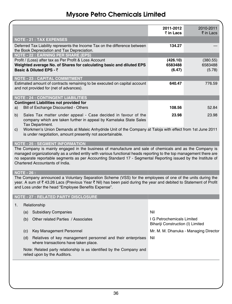|                                                                                                                                                                                                                                                                                                                                                   |                                                                                                                                                                                          | 2011-2012<br>₹ in Lacs                                          | 2010-2011<br>$\bar{\bar{\tau}}$ in Lacs |  |  |
|---------------------------------------------------------------------------------------------------------------------------------------------------------------------------------------------------------------------------------------------------------------------------------------------------------------------------------------------------|------------------------------------------------------------------------------------------------------------------------------------------------------------------------------------------|-----------------------------------------------------------------|-----------------------------------------|--|--|
|                                                                                                                                                                                                                                                                                                                                                   | <b>NOTE - 21 : TAX EXPENSES</b>                                                                                                                                                          |                                                                 |                                         |  |  |
|                                                                                                                                                                                                                                                                                                                                                   | Deferred Tax Liability represents the Income Tax on the difference between<br>the Book Depreciation and Tax Depreciation.                                                                | 134.27                                                          |                                         |  |  |
|                                                                                                                                                                                                                                                                                                                                                   | <b>NOTE - 22 : EARNING PER SHARE (EPS)</b>                                                                                                                                               |                                                                 |                                         |  |  |
|                                                                                                                                                                                                                                                                                                                                                   | Profit / (Loss) after tax as Per Profit & Loss Account                                                                                                                                   | (426.10)                                                        | (380.55)                                |  |  |
|                                                                                                                                                                                                                                                                                                                                                   | Weighted average No. of Shares for calculating basic and diluted EPS<br>Basic & Diluted EPS - ₹                                                                                          | 6583488<br>(6.47)                                               | 6583488<br>(5.78)                       |  |  |
|                                                                                                                                                                                                                                                                                                                                                   | <b>NOTE - 23 : CAPITAL COMMITMENT</b>                                                                                                                                                    |                                                                 |                                         |  |  |
|                                                                                                                                                                                                                                                                                                                                                   | Estimated amount of contracts remaining to be executed on capital account<br>and not provided for (net of advances).                                                                     | 640.47                                                          | 776.59                                  |  |  |
|                                                                                                                                                                                                                                                                                                                                                   | <b>NOTE - 24 : CONTINGENT LIABILITIES</b>                                                                                                                                                |                                                                 |                                         |  |  |
|                                                                                                                                                                                                                                                                                                                                                   | <b>Contingent Liabilities not provided for</b>                                                                                                                                           |                                                                 |                                         |  |  |
| a)                                                                                                                                                                                                                                                                                                                                                | Bill of Exchange Discounted - Others                                                                                                                                                     | 108.56                                                          | 52.84                                   |  |  |
| b)                                                                                                                                                                                                                                                                                                                                                | Sales Tax matter under appeal - Case decided in favour of the<br>company which are taken further in appeal by Karnataka State Sales                                                      | 23.98                                                           | 23.98                                   |  |  |
| C)                                                                                                                                                                                                                                                                                                                                                | Tax Department.<br>Workmen's Union Demands at Maleic Anhydride Unit of the Company at Taloja with effect from 1st June 2011<br>is under negotiation, amount presently not ascertainable. |                                                                 |                                         |  |  |
| <b>NOTE - 25 : SEGMENT INFORMATION</b>                                                                                                                                                                                                                                                                                                            |                                                                                                                                                                                          |                                                                 |                                         |  |  |
| The Company is mainly engaged in the business of manufacture and sale of chemicals and as the Company is<br>managed organizationally as a united entity with various functional heads reporting to the top management there are<br>no separate reportable segments as per Accounting Standard 17 - Segmental Reporting issued by the Institute of |                                                                                                                                                                                          |                                                                 |                                         |  |  |
|                                                                                                                                                                                                                                                                                                                                                   | Chartered Accountants of India.                                                                                                                                                          |                                                                 |                                         |  |  |
| <b>NOTE - 26:</b>                                                                                                                                                                                                                                                                                                                                 |                                                                                                                                                                                          |                                                                 |                                         |  |  |
| The Company announced a Voluntary Separation Scheme (VSS) for the employees of one of the units during the                                                                                                                                                                                                                                        |                                                                                                                                                                                          |                                                                 |                                         |  |  |
|                                                                                                                                                                                                                                                                                                                                                   | year. A sum of ₹43.26 Lacs (Previous Year ₹ Nil) has been paid during the year and debited to Statement of Profit<br>and Loss under the head "Employee Benefits Expense".                |                                                                 |                                         |  |  |
|                                                                                                                                                                                                                                                                                                                                                   | <b>NOTE - 27 : RELATED PARTY DISCLOSURE</b>                                                                                                                                              |                                                                 |                                         |  |  |
| 1.                                                                                                                                                                                                                                                                                                                                                | Relationship                                                                                                                                                                             |                                                                 |                                         |  |  |
| (a)                                                                                                                                                                                                                                                                                                                                               | <b>Subsidiary Companies</b>                                                                                                                                                              | Nil                                                             |                                         |  |  |
| (b)                                                                                                                                                                                                                                                                                                                                               | Other related Parties / Associates                                                                                                                                                       | I G Petrochemicals Limited<br>Bihariji Construction (I) Limited |                                         |  |  |
| (c)                                                                                                                                                                                                                                                                                                                                               | Key Management Personnel                                                                                                                                                                 |                                                                 | Mr. M. M. Dhanuka - Managing Director   |  |  |
| (d)                                                                                                                                                                                                                                                                                                                                               | Relatives of key management personnel and their enterprises<br>where transactions have taken place.                                                                                      | Nil                                                             |                                         |  |  |
|                                                                                                                                                                                                                                                                                                                                                   | Note: Related party relationship is as identified by the Company and<br>relied upon by the Auditors.                                                                                     |                                                                 |                                         |  |  |
|                                                                                                                                                                                                                                                                                                                                                   |                                                                                                                                                                                          |                                                                 |                                         |  |  |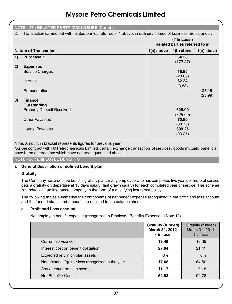| <b>NOTE - 27 : RELATED PARTY DISCLOSURE (Contd.)</b>                                                                 |                                                                                                                       |                                               |                   |                  |
|----------------------------------------------------------------------------------------------------------------------|-----------------------------------------------------------------------------------------------------------------------|-----------------------------------------------|-------------------|------------------|
| Transaction carried out with related parties referred in 1 above, in ordinary course of business are as under:<br>2. |                                                                                                                       |                                               |                   |                  |
|                                                                                                                      |                                                                                                                       | (₹ In Lacs)<br>Related parties referred to in |                   |                  |
|                                                                                                                      | <b>Nature of Transaction</b>                                                                                          | $1(a)$ above                                  | $1(b)$ above      | $1(c)$ above     |
| 1)                                                                                                                   | Purchase *                                                                                                            |                                               | 64.38<br>(172.27) |                  |
| 2)                                                                                                                   | <b>Expenses</b>                                                                                                       |                                               |                   |                  |
|                                                                                                                      | <b>Service Charges</b>                                                                                                |                                               | 18.95<br>(28.69)  |                  |
|                                                                                                                      | Interest                                                                                                              |                                               | 62.34<br>(3.88)   |                  |
|                                                                                                                      | Remuneration                                                                                                          |                                               |                   | 25.15<br>(23.99) |
| 3)                                                                                                                   | <b>Finance</b>                                                                                                        |                                               |                   |                  |
|                                                                                                                      | Outstanding                                                                                                           |                                               |                   |                  |
|                                                                                                                      | <b>Property Deposit Received</b>                                                                                      |                                               | 625.00            |                  |
|                                                                                                                      |                                                                                                                       |                                               | (625.00)          |                  |
|                                                                                                                      | <b>Other Payables</b>                                                                                                 |                                               | 70.80             |                  |
|                                                                                                                      |                                                                                                                       |                                               | (33.75)           |                  |
|                                                                                                                      | Loans Payables                                                                                                        |                                               | 899.25            |                  |
|                                                                                                                      |                                                                                                                       |                                               | (93.25)           |                  |
| Note: Amount in bracket represents figures for previous year.                                                        |                                                                                                                       |                                               |                   |                  |
|                                                                                                                      | *As not contract with LG Potrochomicals Limited, cortain exchange transaction of senvices / goods mutually beneficial |                                               |                   |                  |

\*As per contract with I G Petrochemicals Limited, certain exchange transaction of services / goods mutually beneficial have been entered into which have not been quantified above.

**Note - 28 : Employee Benefits**

### **i. General Description of defined benefit plan**

### **Gratuity**

The Company has a defined benefit gratuity plan. Every employee who has completed five years or more of service gets a gratuity on departure at 15 days salary (last drawn salary) for each completed year of service. The scheme is funded with an insurance company in the form of a qualifying insurance policy.

The following tables summarise the components of net benefit expense recognized in the profit and loss account and the funded status and amounts recognized in the balance sheet.

### **a. Profit and Loss account**

Net employee benefit expense (recognized in Employee Benefits Expense in Note 18)

|                                                    | <b>Gratuity (funded)</b><br>March 31, 2012<br>$\bar{z}$ in lacs | Gratuity (funded)<br>March 31, 2011<br>$\bar{\tau}$ in lacs |
|----------------------------------------------------|-----------------------------------------------------------------|-------------------------------------------------------------|
| Current service cost                               | 18.48                                                           | 18.05                                                       |
| Interest cost on benefit obligation                | 27.94                                                           | 21.41                                                       |
| Expected return on plan assets                     | 8%                                                              | 8%                                                          |
| Net actuarial (gain) / loss recognized in the year | 17.68                                                           | 64.50                                                       |
| Actual return on plan assets                       | 11.17                                                           | 9.18                                                        |
| Net Benefit / Cost                                 | 52.93                                                           | 94.78                                                       |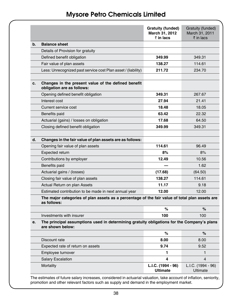|    |                                                                                                                | Gratuity (funded)<br>March 31, 2012<br>₹ in lacs | Gratuity (funded)<br>March 31, 2011<br>$\bar{z}$ in lacs |
|----|----------------------------------------------------------------------------------------------------------------|--------------------------------------------------|----------------------------------------------------------|
| b. | <b>Balance sheet</b>                                                                                           |                                                  |                                                          |
|    | Details of Provision for gratuity                                                                              |                                                  |                                                          |
|    | Defined benefit obligation                                                                                     | 349.99                                           | 349.31                                                   |
|    | Fair value of plan assets                                                                                      | 138.27                                           | 114.61                                                   |
|    | Less: Unrecognized past service cost Plan asset / (liability)                                                  | 211.72                                           | 234.70                                                   |
|    |                                                                                                                |                                                  |                                                          |
| c. | Changes in the present value of the defined benefit<br>obligation are as follows:                              |                                                  |                                                          |
|    | Opening defined benefit obligation                                                                             | 349.31                                           | 267.67                                                   |
|    | Interest cost                                                                                                  | 27.94                                            | 21.41                                                    |
|    | Current service cost                                                                                           | 18.48                                            | 18.05                                                    |
|    | Benefits paid                                                                                                  | 63.42                                            | 22.32                                                    |
|    | Actuarial (gains) / losses on obligation                                                                       | 17.68                                            | 64.50                                                    |
|    | Closing defined benefit obligation                                                                             | 349.99                                           | 349.31                                                   |
|    |                                                                                                                |                                                  |                                                          |
| d. | Changes in the fair value of plan assets are as follows:                                                       |                                                  |                                                          |
|    | Opening fair value of plan assets                                                                              | 114.61                                           | 96.49                                                    |
|    | Expected return                                                                                                | 8%                                               | 8%                                                       |
|    | Contributions by employer                                                                                      | 12.49                                            | 10.56                                                    |
|    | Benefits paid                                                                                                  |                                                  | 1.62                                                     |
|    | Actuarial gains / (losses)                                                                                     | (17.68)                                          | (64.50)                                                  |
|    | Closing fair value of plan assets                                                                              | 138.27                                           | 114.61                                                   |
|    | Actual Return on plan Assets                                                                                   | 11.17                                            | 9.18                                                     |
|    | Estimated contribution to be made in next annual year                                                          | 12.00                                            | 12.00                                                    |
|    | The major categories of plan assets as a percentage of the fair value of total plan assets are<br>as follows:  |                                                  |                                                          |
|    |                                                                                                                | %                                                | %                                                        |
|    | Investments with insurer                                                                                       | 100                                              | 100                                                      |
| е. | The principal assumptions used in determining gratuity obligations for the Company's plans<br>are shown below: |                                                  |                                                          |
|    |                                                                                                                | %                                                | $\%$                                                     |
|    | Discount rate                                                                                                  | 8.00                                             | 8.00                                                     |
|    | Expected rate of return on assets                                                                              | 9.74                                             | 9.52                                                     |
|    | Employee turnover                                                                                              | 1.                                               | $\mathbf{1}$                                             |
|    | <b>Salary Escalation</b>                                                                                       | 4                                                | $\overline{4}$                                           |
|    | Mortality                                                                                                      | L.I.C. (1994 - 96)<br><b>Ultimate</b>            | L.I.C. (1994 - 96)<br>Ultimate                           |

The estimates of future salary increases, considered in actuarial valuation, take account of inflation, seniority, promotion and other relevant factors such as supply and demand in the employment market.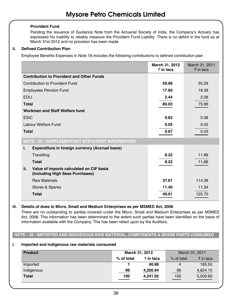### **Provident Fund**

Pending the issuance of Guidance Note from the Actuarial Society of India, the Company's Actuary has expressed his inability to reliably measure the Provident Fund Liability. There is no deficit in the fund as at March 31st 2012 and no provision has been made.

### **ii. Defined Contribution Plan**

Employee Benefits Expenses in Note 18 includes the following contributions to defined contribution plan

|                                                                                    | March 31, 2012<br>$\bar{z}$ in lacs | March 31, 2011<br>$\bar{z}$ in lacs |
|------------------------------------------------------------------------------------|-------------------------------------|-------------------------------------|
| <b>Contribution to Provident and Other Funds</b>                                   |                                     |                                     |
| Contribution to Provident Fund                                                     | 59.99                               | 55.29                               |
| <b>Employees Pension Fund</b>                                                      | 17.60                               | 18.39                               |
| <b>EDLI</b>                                                                        | 2.44                                | 2.28                                |
| <b>Total</b>                                                                       | 80.03                               | 75.96                               |
| Workmen and Staff Welfare fund                                                     |                                     |                                     |
| <b>ESIC</b>                                                                        | 0.62                                | 0.38                                |
| Labour Welfare Fund                                                                | 0.05                                | 0.05                                |
| <b>Total</b>                                                                       | 0.67                                | 0.43                                |
| <b>NOTE - 29 : SUPPLEMENTARY STATUTORY INFORMATION</b>                             |                                     |                                     |
| i.<br>Expenditure in foreign currency (Accrual basis)                              |                                     |                                     |
| Travelling                                                                         | 8.22                                | 11.88                               |
| <b>Total</b>                                                                       | 8.22                                | 11.88                               |
| ii.<br>Value of imports calculated on CIF basis<br>(Including High Seas Purchases) |                                     |                                     |
| <b>Raw Materials</b>                                                               | 37.61                               | 114.36                              |
| Stores & Spares                                                                    | 11.40                               | 11.34                               |
| <b>Total</b>                                                                       | 49.01                               | 125.70                              |

### **iii. Details of dues to Micro, Small and Medium Enterprises as per MSMED Act, 2006**

There are no outstanding to parties covered under the Micro, Small and Medium Enterprises as per MSMED Act, 2006. This information has been determined to the extent such parties have been identified on the basis of information available with the Company. This has been relied upon by the Auditors.

### **Note - 30 : Imported and Indigenous raw material, components & spare parts consumed**

### **i. Imported and indigenous raw materials consumed**

| <b>Product</b> | March 31, 2012 |                   | March 31, 2011 |                      |
|----------------|----------------|-------------------|----------------|----------------------|
|                | % of total     | $\bar{z}$ in lacs | % of total     | $\bar{\tau}$ in lacs |
| Imported       |                | 40.98             | 4              | 185.50               |
| Indigenous     | 99             | 4,200.94          | 96             | 4,824.10             |
| <b>Total</b>   | 100            | 4.241.92          | 100            | 5,009.60             |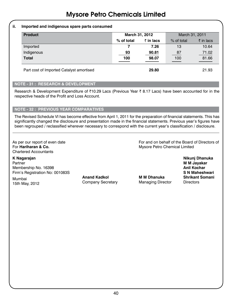### **ii. Imported and indigenous spare parts consumed**

| <b>Product</b>                           | March 31, 2012 |                   | March 31, 2011 |                      |
|------------------------------------------|----------------|-------------------|----------------|----------------------|
|                                          | % of total     | $\bar{z}$ in lacs | % of total     | $\bar{\tau}$ in lacs |
| Imported                                 |                | 7.26              | 13             | 10.64                |
| Indigenous                               | 93             | 90.81             | 87             | 71.02                |
| <b>Total</b>                             | 100            | 98.07             | 100            | 81.66                |
| Part cost of Imported Catalyst amortised |                | 29.80             |                | 21.93                |

### **Note - 31 : Research & Development**

Research & Development Expenditure of ₹10.29 Lacs (Previous Year ₹ 8.17 Lacs) have been accounted for in the respective heads of the Profit and Loss Account.

### **Note - 32 : Previous Year Comparatives**

The Revised Schedule VI has become effective from April 1, 2011 for the preparation of financial statements. This has significantly changed the disclosure and presentation made in the financial statements. Previous year's figures have been regrouped / reclassified wherever necessary to correspond with the current year's classification / disclosure.

Chartered Accountants

**K Nagarajan Nikunj Dhanuka** Partner **M M Jayakar** Membership No. 16398 **Anil Kochar**<br>Firm's Registration No: 001083S **Firm's Registration No: 001083S** 

Mumbai **Anand Kadkol M M Dhanuka Shrikant Somani** manibal manusian Company Secretary Managing Director Directors

As per our report of even date<br>For **Hariharan & Co. For and on behalf of the Board of Directors of For Hariharan & Co. For Hariharan & Co. Mysore Petro Chemical Limited**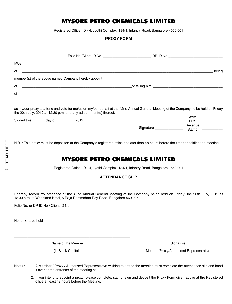Registered Office : D - 4, Jyothi Complex, 134/1, Infantry Road, Bangalore - 560 001

### **PROXY FORM**

|        | Folio No./Client ID No. __________________________DP-ID No._____________________                                                                                                                                                              |                                        |                |
|--------|-----------------------------------------------------------------------------------------------------------------------------------------------------------------------------------------------------------------------------------------------|----------------------------------------|----------------|
|        |                                                                                                                                                                                                                                               |                                        |                |
| of     | being المستخدمات المستخدمات المستخدمات المستخدمات المستخدمات المستخدمات المستخدمات المستخدمات المستخدمات المستخدمات                                                                                                                           |                                        |                |
|        |                                                                                                                                                                                                                                               |                                        |                |
| of     | $\blacksquare$ or failing him $\blacksquare$ . The contract of the contract of the contract of the contract of the contract of the contract of the contract of the contract of the contract of the contract of the contract of the contract o |                                        |                |
| of     |                                                                                                                                                                                                                                               |                                        |                |
|        | as my/our proxy to attend and vote for me/us on my/our behalf at the 42nd Annual General Meeting of the Company, to be held on Friday<br>the 20th July, 2012 at 12.30 p.m. and any adjournment(s) thereof.                                    |                                        |                |
|        | Signed this ________ day of ___________ 2012.                                                                                                                                                                                                 |                                        | Affix<br>1 Re. |
|        |                                                                                                                                                                                                                                               | Signature                              | Revenue        |
|        |                                                                                                                                                                                                                                               |                                        | Stamp          |
|        | N.B.: This proxy must be deposited at the Company's registered office not later than 48 hours before the time for holding the meeting.                                                                                                        |                                        |                |
|        | <b>MYSORE PETRO CHEMICALS LIMITED</b>                                                                                                                                                                                                         |                                        |                |
|        | Registered Office: D - 4, Jyothi Complex, 134/1, Infantry Road, Bangalore - 560 001                                                                                                                                                           |                                        |                |
|        | <b>ATTENDANCE SLIP</b>                                                                                                                                                                                                                        |                                        |                |
|        |                                                                                                                                                                                                                                               |                                        |                |
|        | I hereby record my presence at the 42nd Annual General Meeting of the Company being held on Friday, the 20th July, 2012 at<br>12.30 p.m. at Woodland Hotel, 5 Raja Rammohan Roy Road, Bangalore 560 025.                                      |                                        |                |
|        |                                                                                                                                                                                                                                               |                                        |                |
|        |                                                                                                                                                                                                                                               |                                        |                |
|        | No. of Shares held <b>contract the state of Shares</b> held                                                                                                                                                                                   |                                        |                |
|        |                                                                                                                                                                                                                                               |                                        |                |
|        | Name of the Member                                                                                                                                                                                                                            |                                        | Signature      |
|        | (in Block Capitals)                                                                                                                                                                                                                           | Member/Proxy/Authorised Representative |                |
| Notes: | 1. A Member / Proxy / Authorised Representative wishing to attend the meeting must complete the attendance slip and hand<br>it over at the entrance of the meeting hall.                                                                      |                                        |                |
|        | 2. If you intend to appoint a proxy, please complete, stamp, sign and deposit the Proxy Form given above at the Registered<br>office at least 48 hours before the Meeting.                                                                    |                                        |                |

**A TEAR HERE** TEAR here

 $\overline{\phantom{a}}$